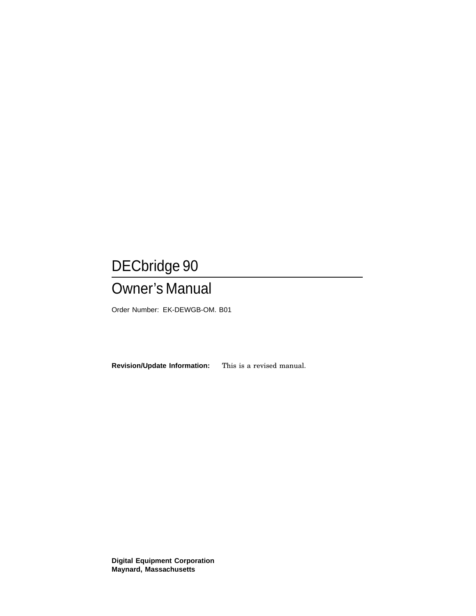## DECbridge 90

## Owner's Manual

Order Number: EK-DEWGB-OM. B01

**Revision/Update Information:** This is a revised manual.

**Digital Equipment Corporation Maynard, Massachusetts**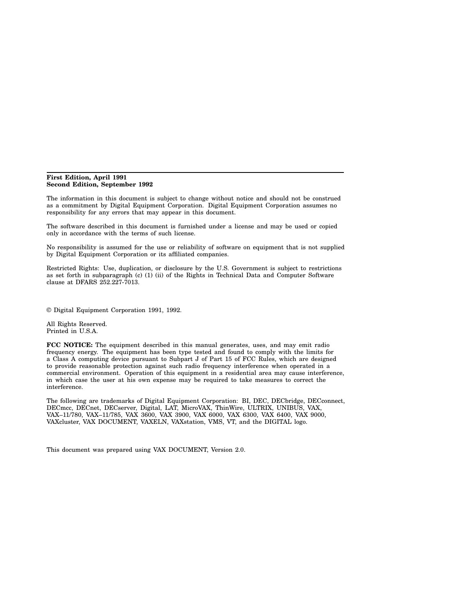#### **First Edition, April 1991 Second Edition, September 1992**

The information in this document is subject to change without notice and should not be construed as a commitment by Digital Equipment Corporation. Digital Equipment Corporation assumes no responsibility for any errors that may appear in this document.

The software described in this document is furnished under a license and may be used or copied only in accordance with the terms of such license.

No responsibility is assumed for the use or reliability of software on equipment that is not supplied by Digital Equipment Corporation or its affiliated companies.

Restricted Rights: Use, duplication, or disclosure by the U.S. Government is subject to restrictions as set forth in subparagraph (c) (1) (ii) of the Rights in Technical Data and Computer Software clause at DFARS 252.227-7013.

© Digital Equipment Corporation 1991, 1992.

All Rights Reserved. Printed in U.S.A.

**FCC NOTICE:** The equipment described in this manual generates, uses, and may emit radio frequency energy. The equipment has been type tested and found to comply with the limits for a Class A computing device pursuant to Subpart J of Part 15 of FCC Rules, which are designed to provide reasonable protection against such radio frequency interference when operated in a commercial environment. Operation of this equipment in a residential area may cause interference, in which case the user at his own expense may be required to take measures to correct the interference.

The following are trademarks of Digital Equipment Corporation: BI, DEC, DECbridge, DECconnect, DECmcc, DECnet, DECserver, Digital, LAT, MicroVAX, ThinWire, ULTRIX, UNIBUS, VAX, VAX–11/780, VAX–11/785, VAX 3600, VAX 3900, VAX 6000, VAX 6300, VAX 6400, VAX 9000, VAXcluster, VAX DOCUMENT, VAXELN, VAXstation, VMS, VT, and the DIGITAL logo.

This document was prepared using VAX DOCUMENT, Version 2.0.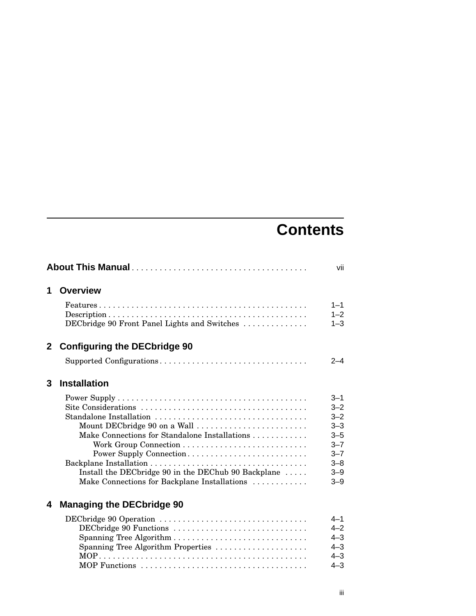## **Contents**

|              |                                                                                                            | vii                |
|--------------|------------------------------------------------------------------------------------------------------------|--------------------|
| 1            | <b>Overview</b>                                                                                            |                    |
|              | $Features \dots \dots \dots \dots \dots \dots \dots \dots \dots \dots \dots \dots \dots \dots \dots \dots$ | $1 - 1$            |
|              | DECbridge 90 Front Panel Lights and Switches                                                               | $1 - 2$<br>$1 - 3$ |
| $\mathbf{2}$ | <b>Configuring the DECbridge 90</b>                                                                        |                    |
|              | Supported Configurations                                                                                   | $2 - 4$            |
| 3            | <b>Installation</b>                                                                                        |                    |
|              |                                                                                                            | $3 - 1$            |
|              |                                                                                                            | $3 - 2$            |
|              | Standalone Installation                                                                                    | $3 - 2$            |
|              | Mount DECbridge 90 on a Wall                                                                               | $3 - 3$            |
|              | Make Connections for Standalone Installations                                                              | $3 - 5$            |
|              |                                                                                                            | $3 - 7$<br>$3 - 7$ |
|              | Power Supply Connection                                                                                    | $3 - 8$            |
|              | Install the DECbridge 90 in the DEChub 90 Backplane                                                        | $3 - 9$            |
|              | Make Connections for Backplane Installations                                                               | $3 - 9$            |
| 4            | <b>Managing the DECbridge 90</b>                                                                           |                    |
|              | DECbridge 90 Operation                                                                                     | $4 - 1$            |
|              | DECbridge 90 Functions                                                                                     | $4 - 2$            |
|              |                                                                                                            | $4 - 3$            |
|              | Spanning Tree Algorithm Properties                                                                         | $4 - 3$            |
|              |                                                                                                            | $4 - 3$            |
|              |                                                                                                            | $4 - 3$            |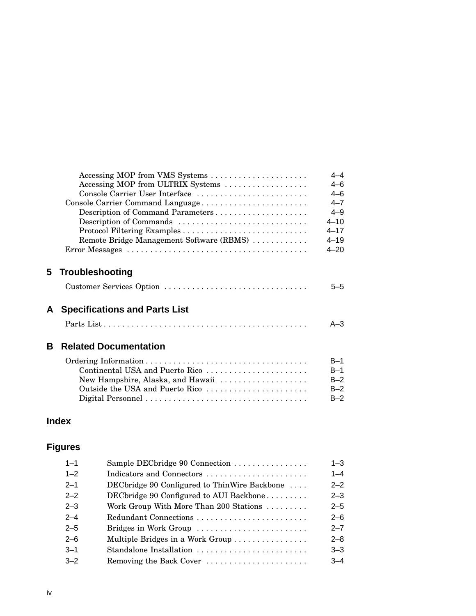| $4 - 4$  | Accessing MOP from VMS Systems            |
|----------|-------------------------------------------|
| $4 - 6$  | Accessing MOP from ULTRIX Systems         |
| $4 - 6$  | Console Carrier User Interface            |
| $4 - 7$  | Console Carrier Command Language          |
| $4 - 9$  |                                           |
| $4 - 10$ | Description of Commands                   |
| $4 - 17$ |                                           |
| $4 - 19$ | Remote Bridge Management Software (RBMS)  |
| $4 - 20$ |                                           |
|          |                                           |
|          | 5 Troubleshooting                         |
| 5-5      | Customer Services Option                  |
|          |                                           |
|          | <b>Specifications and Parts List</b><br>A |
| $A - 3$  |                                           |
|          |                                           |
|          | В<br><b>Related Documentation</b>         |
| $B-1$    |                                           |
| $B-1$    | Continental USA and Puerto Rico           |
| $B-2$    | New Hampshire, Alaska, and Hawaii         |
| $B-2$    |                                           |
| $B-2$    |                                           |
|          | Outside the USA and Puerto Rico           |

## **Index**

## **Figures**

| $1 - 1$ | Sample DECbridge 90 Connection               | $1 - 3$ |
|---------|----------------------------------------------|---------|
| $1 - 2$ | Indicators and Connectors                    | $1 - 4$ |
| $2 - 1$ | DECbridge 90 Configured to ThinWire Backbone | $2 - 2$ |
| $2 - 2$ | DECbridge 90 Configured to AUI Backbone      | $2 - 3$ |
| $2 - 3$ | Work Group With More Than 200 Stations       | $2 - 5$ |
| $2 - 4$ | Redundant Connections                        | $2 - 6$ |
| $2 - 5$ | Bridges in Work Group                        | $2 - 7$ |
| $2 - 6$ | Multiple Bridges in a Work Group             | $2 - 8$ |
| $-3-1$  | Standalone Installation                      | $3 - 3$ |
| $-3-2$  | Removing the Back Cover                      | $3 - 4$ |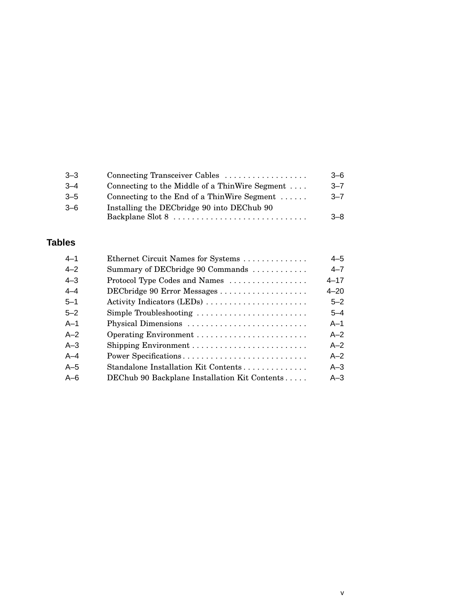| $3 - 3$ | Connecting Transceiver Cables                          | $3 - 6$ |
|---------|--------------------------------------------------------|---------|
| $-3-4$  | Connecting to the Middle of a ThinWire Segment $\dots$ | $3 - 7$ |
| $3 - 5$ | Connecting to the End of a ThinWire Segment            | $3 - 7$ |
| $3 - 6$ | Installing the DECbridge 90 into DEChub 90             | $-8$    |

## **Tables**

| $4 - 1$ | Ethernet Circuit Names for Systems            | $4 - 5$  |
|---------|-----------------------------------------------|----------|
| $4 - 2$ | Summary of DECbridge 90 Commands              | $4 - 7$  |
| $4 - 3$ | Protocol Type Codes and Names                 | $4 - 17$ |
| $4 - 4$ | DECbridge 90 Error Messages                   | $4 - 20$ |
| $5 - 1$ | Activity Indicators (LEDs)                    | $5 - 2$  |
| $5 - 2$ | Simple Troubleshooting                        | $5 - 4$  |
| $A-1$   | Physical Dimensions                           | $A-1$    |
| $A-2$   |                                               | $A-2$    |
| $A - 3$ |                                               | $A-2$    |
| $A - 4$ | Power Specifications                          | $A - 2$  |
| $A-5$   | Standalone Installation Kit Contents          | $A - 3$  |
| $A - 6$ | DEChub 90 Backplane Installation Kit Contents | $A - 3$  |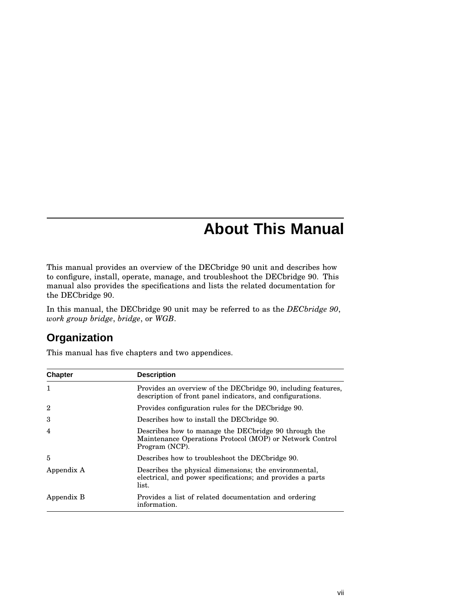## **About This Manual**

This manual provides an overview of the DECbridge 90 unit and describes how to configure, install, operate, manage, and troubleshoot the DECbridge 90. This manual also provides the specifications and lists the related documentation for the DECbridge 90.

In this manual, the DECbridge 90 unit may be referred to as the *DECbridge 90*, *work group bridge*, *bridge*, or *WGB*.

## **Organization**

This manual has five chapters and two appendices.

| <b>Chapter</b> | <b>Description</b>                                                                                                                  |
|----------------|-------------------------------------------------------------------------------------------------------------------------------------|
| 1              | Provides an overview of the DEC bridge 90, including features,<br>description of front panel indicators, and configurations.        |
| $\overline{2}$ | Provides configuration rules for the DEC bridge 90.                                                                                 |
| 3              | Describes how to install the DEC bridge 90.                                                                                         |
| 4              | Describes how to manage the DEC bridge 90 through the<br>Maintenance Operations Protocol (MOP) or Network Control<br>Program (NCP). |
| 5              | Describes how to troubleshoot the DEC bridge 90.                                                                                    |
| Appendix A     | Describes the physical dimensions; the environmental,<br>electrical, and power specifications; and provides a parts<br>list.        |
| Appendix B     | Provides a list of related documentation and ordering<br>information.                                                               |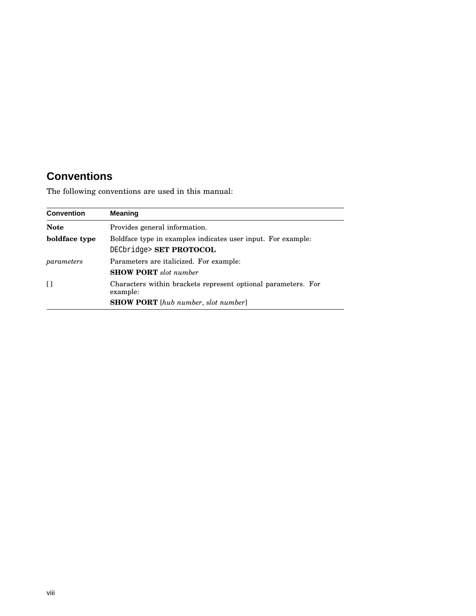## **Conventions**

The following conventions are used in this manual:

| <b>Convention</b> | <b>Meaning</b>                                                                          |
|-------------------|-----------------------------------------------------------------------------------------|
| <b>Note</b>       | Provides general information.                                                           |
| boldface type     | Boldface type in examples indicates user input. For example:<br>DECbridge> SET PROTOCOL |
| parameters        | Parameters are italicized. For example:<br><b>SHOW PORT</b> slot number                 |
| $\Box$            | Characters within brackets represent optional parameters. For<br>example:               |
|                   | <b>SHOW PORT</b> [hub number, slot number]                                              |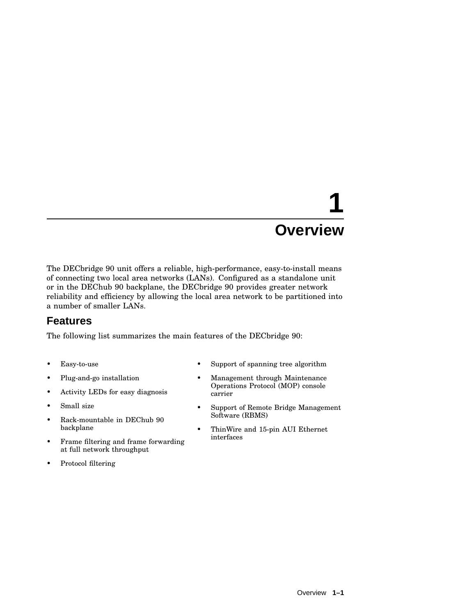# **1 Overview**

The DECbridge 90 unit offers a reliable, high-performance, easy-to-install means of connecting two local area networks (LANs). Configured as a standalone unit or in the DEChub 90 backplane, the DECbridge 90 provides greater network reliability and efficiency by allowing the local area network to be partitioned into a number of smaller LANs.

## **Features**

The following list summarizes the main features of the DECbridge 90:

- Easy-to-use
- Plug-and-go installation
- Activity LEDs for easy diagnosis
- Small size
- Rack-mountable in DEChub 90 backplane
- Frame filtering and frame forwarding at full network throughput
- Protocol filtering
- Support of spanning tree algorithm
- Management through Maintenance Operations Protocol (MOP) console carrier
- Support of Remote Bridge Management Software (RBMS)
- ThinWire and 15-pin AUI Ethernet interfaces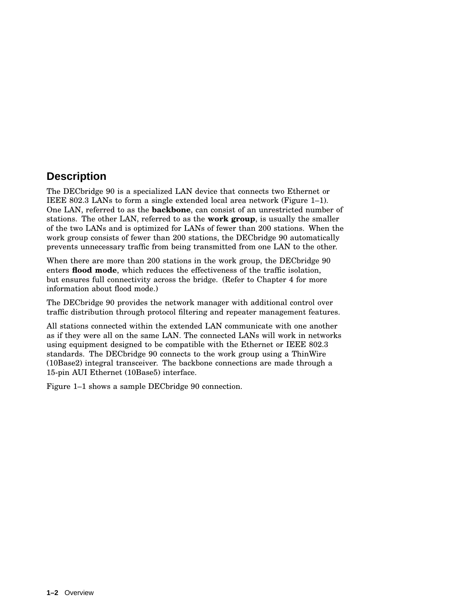## **Description**

The DECbridge 90 is a specialized LAN device that connects two Ethernet or IEEE 802.3 LANs to form a single extended local area network (Figure 1–1). One LAN, referred to as the **backbone**, can consist of an unrestricted number of stations. The other LAN, referred to as the **work group**, is usually the smaller of the two LANs and is optimized for LANs of fewer than 200 stations. When the work group consists of fewer than 200 stations, the DECbridge 90 automatically prevents unnecessary traffic from being transmitted from one LAN to the other.

When there are more than 200 stations in the work group, the DECbridge 90 enters **flood mode**, which reduces the effectiveness of the traffic isolation, but ensures full connectivity across the bridge. (Refer to Chapter 4 for more information about flood mode.)

The DECbridge 90 provides the network manager with additional control over traffic distribution through protocol filtering and repeater management features.

All stations connected within the extended LAN communicate with one another as if they were all on the same LAN. The connected LANs will work in networks using equipment designed to be compatible with the Ethernet or IEEE 802.3 standards. The DECbridge 90 connects to the work group using a ThinWire (10Base2) integral transceiver. The backbone connections are made through a 15-pin AUI Ethernet (10Base5) interface.

Figure 1–1 shows a sample DECbridge 90 connection.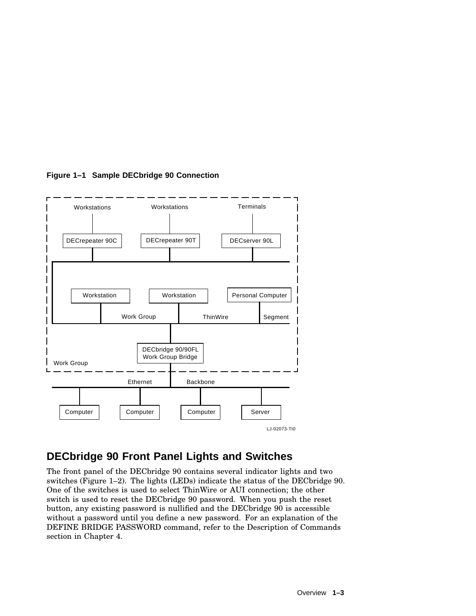

**Figure 1–1 Sample DECbridge 90 Connection**

## **DECbridge 90 Front Panel Lights and Switches**

The front panel of the DECbridge 90 contains several indicator lights and two switches (Figure 1–2). The lights (LEDs) indicate the status of the DECbridge 90. One of the switches is used to select ThinWire or AUI connection; the other switch is used to reset the DECbridge 90 password. When you push the reset button, any existing password is nullified and the DECbridge 90 is accessible without a password until you define a new password. For an explanation of the DEFINE BRIDGE PASSWORD command, refer to the Description of Commands section in Chapter 4.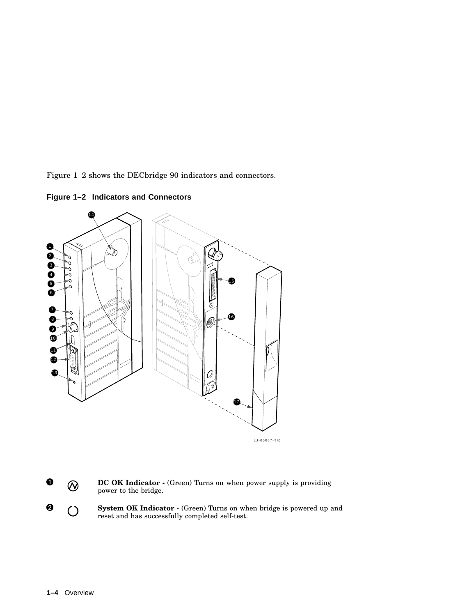Figure 1–2 shows the DECbridge 90 indicators and connectors.

**Figure 1–2 Indicators and Connectors**





**8** () System OK Indicator  $\cdot$  (Green) Turns on when bridge is powered up and  $\bigcirc$ reset and has successfully completed self-test.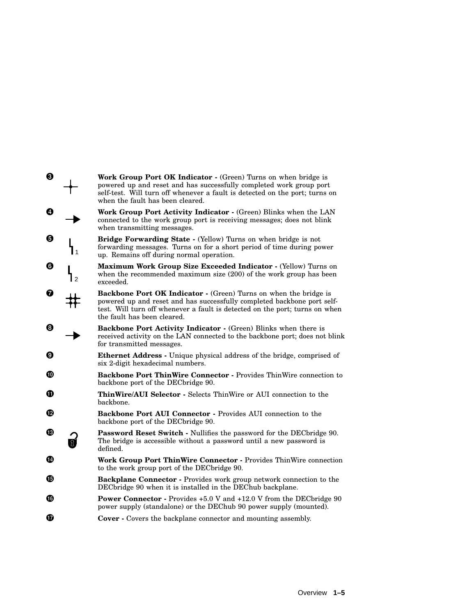| $\boldsymbol{\Theta}$ | <b>Work Group Port OK Indicator -</b> (Green) Turns on when bridge is<br>powered up and reset and has successfully completed work group port<br>self-test. Will turn off whenever a fault is detected on the port; turns on<br>when the fault has been cleared.  |
|-----------------------|------------------------------------------------------------------------------------------------------------------------------------------------------------------------------------------------------------------------------------------------------------------|
| Ø                     | Work Group Port Activity Indicator - (Green) Blinks when the LAN<br>connected to the work group port is receiving messages; does not blink<br>when transmitting messages.                                                                                        |
| 0<br>1 ،              | Bridge Forwarding State - (Yellow) Turns on when bridge is not<br>forwarding messages. Turns on for a short period of time during power<br>up. Remains off during normal operation.                                                                              |
| G<br>$\mathcal{P}$    | <b>Maximum Work Group Size Exceeded Indicator - (Yellow) Turns on</b><br>when the recommended maximum size (200) of the work group has been<br>exceeded.                                                                                                         |
| ❼                     | <b>Backbone Port OK Indicator -</b> (Green) Turns on when the bridge is<br>powered up and reset and has successfully completed backbone port self-<br>test. Will turn off whenever a fault is detected on the port; turns on when<br>the fault has been cleared. |
| ❸                     | <b>Backbone Port Activity Indicator - (Green) Blinks when there is</b><br>received activity on the LAN connected to the backbone port; does not blink<br>for transmitted messages.                                                                               |
| ø                     | Ethernet Address - Unique physical address of the bridge, comprised of<br>six 2-digit hexadecimal numbers.                                                                                                                                                       |
| ⊕                     | Backbone Port ThinWire Connector - Provides ThinWire connection to<br>backbone port of the DEC bridge 90.                                                                                                                                                        |
| O                     | ThinWire/AUI Selector - Selects ThinWire or AUI connection to the<br>backbone.                                                                                                                                                                                   |
| œ                     | Backbone Port AUI Connector - Provides AUI connection to the<br>backbone port of the DECbridge 90.                                                                                                                                                               |
| ®                     | Password Reset Switch - Nullifies the password for the DECbridge 90.<br>The bridge is accessible without a password until a new password is<br>defined.                                                                                                          |
| Ø                     | Work Group Port ThinWire Connector - Provides ThinWire connection<br>to the work group port of the DEC bridge 90.                                                                                                                                                |
| ®                     | Backplane Connector - Provides work group network connection to the<br>DEC bridge 90 when it is installed in the DEC hub backplane.                                                                                                                              |
| to                    | <b>Power Connector</b> - Provides +5.0 V and +12.0 V from the DEC bridge 90<br>power supply (standalone) or the DEChub 90 power supply (mounted).                                                                                                                |
| œ                     | <b>Cover</b> - Covers the backplane connector and mounting assembly.                                                                                                                                                                                             |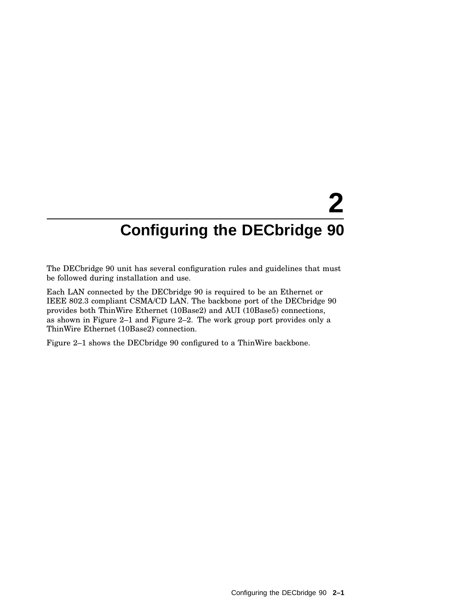# **2 Configuring the DECbridge 90**

The DECbridge 90 unit has several configuration rules and guidelines that must be followed during installation and use.

Each LAN connected by the DECbridge 90 is required to be an Ethernet or IEEE 802.3 compliant CSMA/CD LAN. The backbone port of the DECbridge 90 provides both ThinWire Ethernet (10Base2) and AUI (10Base5) connections, as shown in Figure 2–1 and Figure 2–2. The work group port provides only a ThinWire Ethernet (10Base2) connection.

Figure 2–1 shows the DECbridge 90 configured to a ThinWire backbone.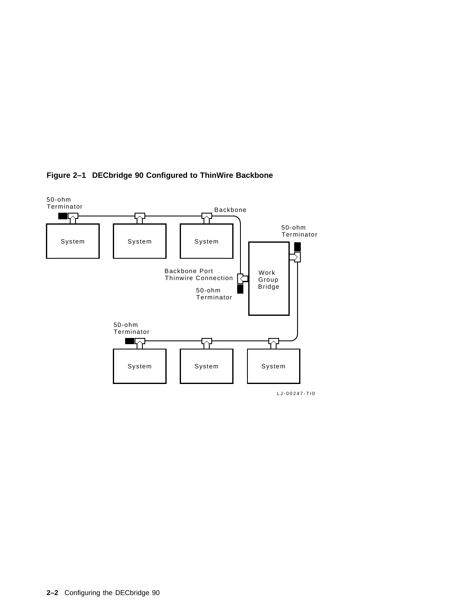

#### **Figure 2–1 DECbridge 90 Configured to ThinWire Backbone**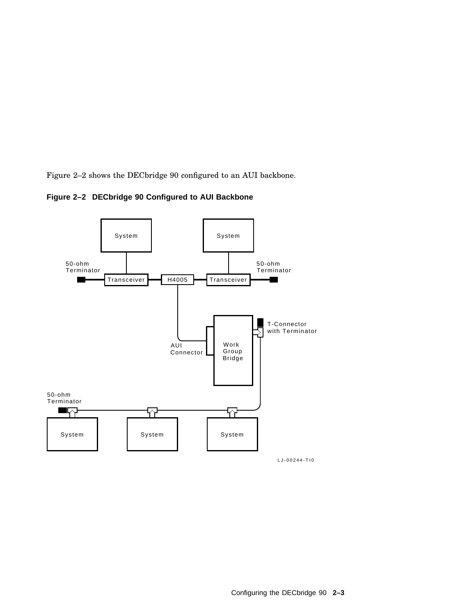Figure 2–2 shows the DECbridge 90 configured to an AUI backbone.



**Figure 2–2 DECbridge 90 Configured to AUI Backbone**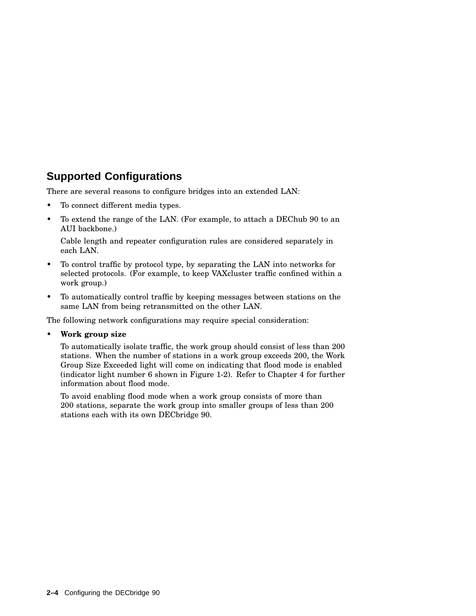## **Supported Configurations**

There are several reasons to configure bridges into an extended LAN:

- To connect different media types.
- To extend the range of the LAN. (For example, to attach a DEChub 90 to an AUI backbone.)

Cable length and repeater configuration rules are considered separately in each LAN.

- To control traffic by protocol type, by separating the LAN into networks for selected protocols. (For example, to keep VAXcluster traffic confined within a work group.)
- To automatically control traffic by keeping messages between stations on the same LAN from being retransmitted on the other LAN.

The following network configurations may require special consideration:

#### • **Work group size**

To automatically isolate traffic, the work group should consist of less than 200 stations. When the number of stations in a work group exceeds 200, the Work Group Size Exceeded light will come on indicating that flood mode is enabled (indicator light number 6 shown in Figure 1-2). Refer to Chapter 4 for further information about flood mode.

To avoid enabling flood mode when a work group consists of more than 200 stations, separate the work group into smaller groups of less than 200 stations each with its own DECbridge 90.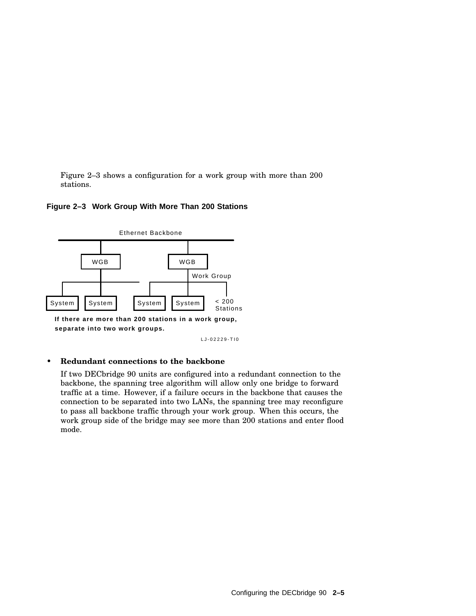Figure 2–3 shows a configuration for a work group with more than 200 stations.

#### **Figure 2–3 Work Group With More Than 200 Stations**



**If there are more than 200 stations in a work group, separate into two work groups.**

LJ-02229-TI0

#### • **Redundant connections to the backbone**

If two DECbridge 90 units are configured into a redundant connection to the backbone, the spanning tree algorithm will allow only one bridge to forward traffic at a time. However, if a failure occurs in the backbone that causes the connection to be separated into two LANs, the spanning tree may reconfigure to pass all backbone traffic through your work group. When this occurs, the work group side of the bridge may see more than 200 stations and enter flood mode.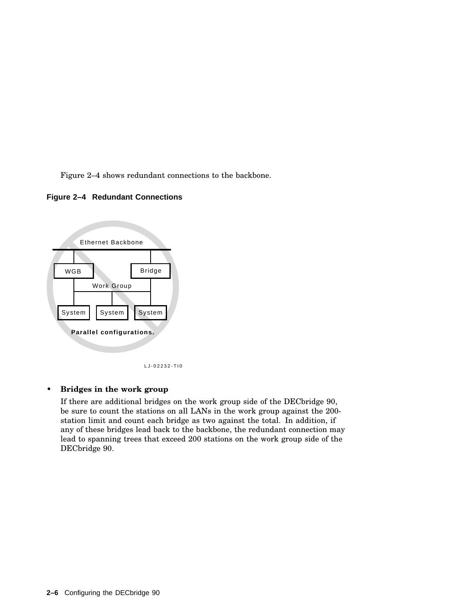Figure 2–4 shows redundant connections to the backbone.





LJ-02232-TI0

• **Bridges in the work group**

If there are additional bridges on the work group side of the DECbridge 90, be sure to count the stations on all LANs in the work group against the 200 station limit and count each bridge as two against the total. In addition, if any of these bridges lead back to the backbone, the redundant connection may lead to spanning trees that exceed 200 stations on the work group side of the DECbridge 90.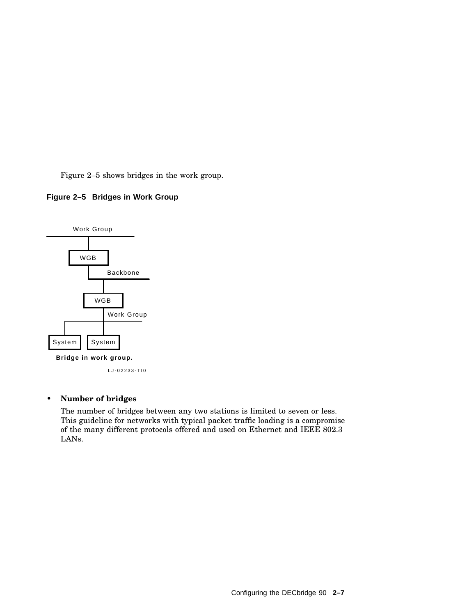Figure 2–5 shows bridges in the work group.

#### **Figure 2–5 Bridges in Work Group**



LJ-02233-TI0

#### • **Number of bridges**

The number of bridges between any two stations is limited to seven or less. This guideline for networks with typical packet traffic loading is a compromise of the many different protocols offered and used on Ethernet and IEEE 802.3 LANs.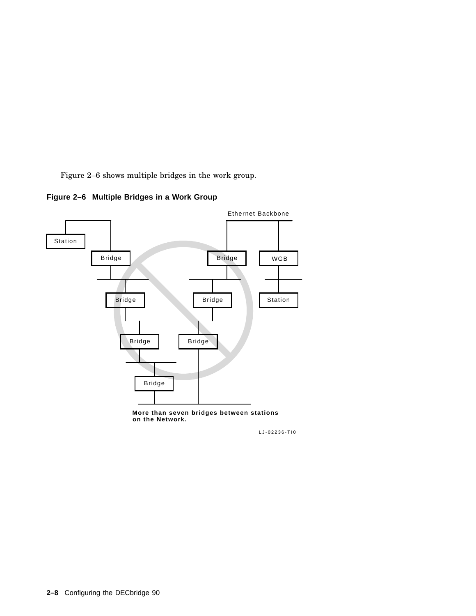Figure 2–6 shows multiple bridges in the work group.





**on the Network.**

LJ-02236-TI0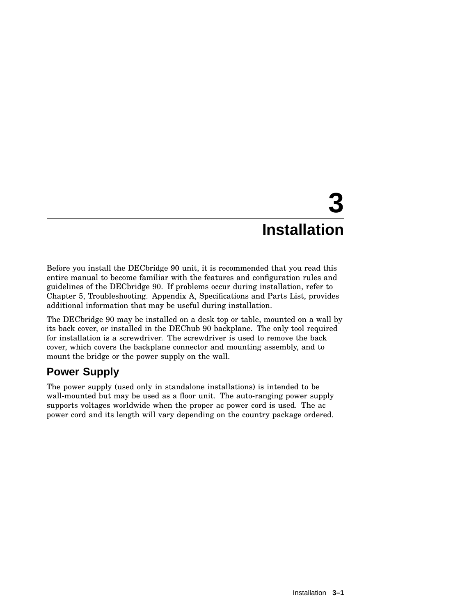# **3 Installation**

Before you install the DECbridge 90 unit, it is recommended that you read this entire manual to become familiar with the features and configuration rules and guidelines of the DECbridge 90. If problems occur during installation, refer to Chapter 5, Troubleshooting. Appendix A, Specifications and Parts List, provides additional information that may be useful during installation.

The DECbridge 90 may be installed on a desk top or table, mounted on a wall by its back cover, or installed in the DEChub 90 backplane. The only tool required for installation is a screwdriver. The screwdriver is used to remove the back cover, which covers the backplane connector and mounting assembly, and to mount the bridge or the power supply on the wall.

## **Power Supply**

The power supply (used only in standalone installations) is intended to be wall-mounted but may be used as a floor unit. The auto-ranging power supply supports voltages worldwide when the proper ac power cord is used. The ac power cord and its length will vary depending on the country package ordered.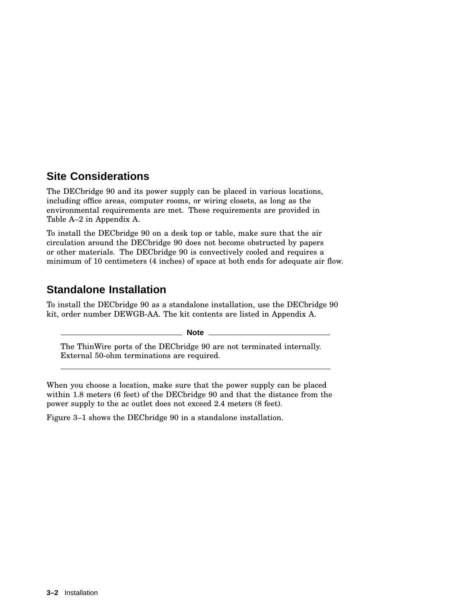## **Site Considerations**

The DECbridge 90 and its power supply can be placed in various locations, including office areas, computer rooms, or wiring closets, as long as the environmental requirements are met. These requirements are provided in Table A–2 in Appendix A.

To install the DECbridge 90 on a desk top or table, make sure that the air circulation around the DECbridge 90 does not become obstructed by papers or other materials. The DECbridge 90 is convectively cooled and requires a minimum of 10 centimeters (4 inches) of space at both ends for adequate air flow.

## **Standalone Installation**

To install the DECbridge 90 as a standalone installation, use the DECbridge 90 kit, order number DEWGB-AA. The kit contents are listed in Appendix A.

**Note**

The ThinWire ports of the DECbridge 90 are not terminated internally. External 50-ohm terminations are required.

When you choose a location, make sure that the power supply can be placed within 1.8 meters (6 feet) of the DECbridge 90 and that the distance from the power supply to the ac outlet does not exceed 2.4 meters (8 feet).

Figure 3–1 shows the DECbridge 90 in a standalone installation.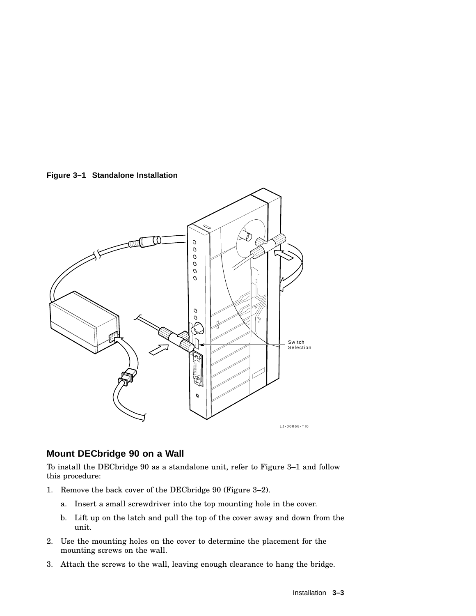**Figure 3–1 Standalone Installation**



### **Mount DECbridge 90 on a Wall**

To install the DECbridge 90 as a standalone unit, refer to Figure 3–1 and follow this procedure:

- 1. Remove the back cover of the DECbridge 90 (Figure 3–2).
	- a. Insert a small screwdriver into the top mounting hole in the cover.
	- b. Lift up on the latch and pull the top of the cover away and down from the unit.
- 2. Use the mounting holes on the cover to determine the placement for the mounting screws on the wall.
- 3. Attach the screws to the wall, leaving enough clearance to hang the bridge.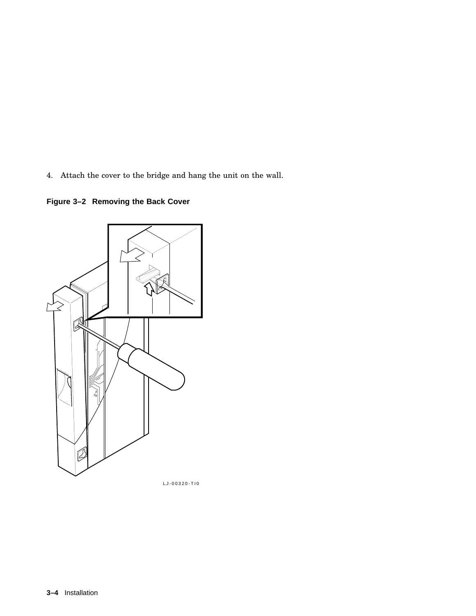4. Attach the cover to the bridge and hang the unit on the wall.

**Figure 3–2 Removing the Back Cover**



LJ-00320-TI0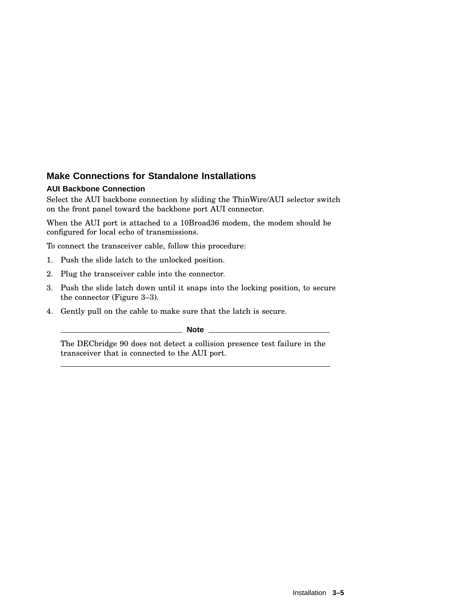### **Make Connections for Standalone Installations**

#### **AUI Backbone Connection**

Select the AUI backbone connection by sliding the ThinWire/AUI selector switch on the front panel toward the backbone port AUI connector.

When the AUI port is attached to a 10Broad36 modem, the modem should be configured for local echo of transmissions.

To connect the transceiver cable, follow this procedure:

- 1. Push the slide latch to the unlocked position.
- 2. Plug the transceiver cable into the connector.
- 3. Push the slide latch down until it snaps into the locking position, to secure the connector (Figure 3–3).
- 4. Gently pull on the cable to make sure that the latch is secure.

**Note**

The DECbridge 90 does not detect a collision presence test failure in the transceiver that is connected to the AUI port.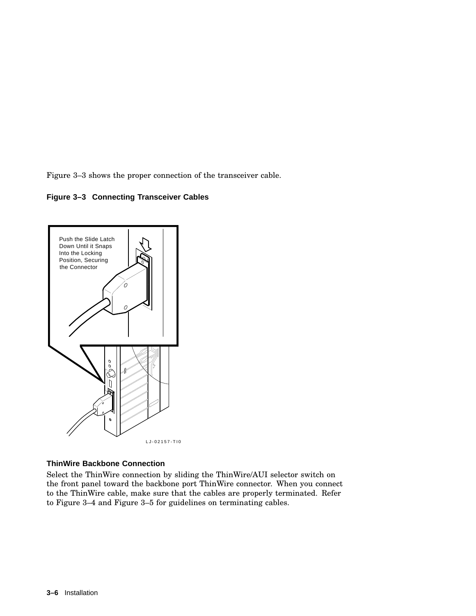Figure 3–3 shows the proper connection of the transceiver cable.

#### **Figure 3–3 Connecting Transceiver Cables**



#### **ThinWire Backbone Connection**

Select the ThinWire connection by sliding the ThinWire/AUI selector switch on the front panel toward the backbone port ThinWire connector. When you connect to the ThinWire cable, make sure that the cables are properly terminated. Refer to Figure 3–4 and Figure 3–5 for guidelines on terminating cables.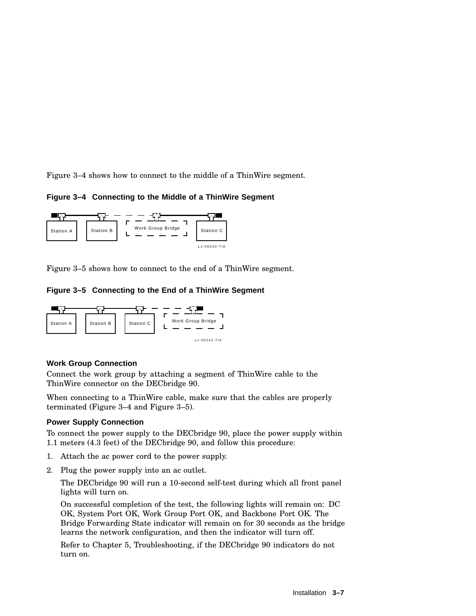Figure 3–4 shows how to connect to the middle of a ThinWire segment.

**Figure 3–4 Connecting to the Middle of a ThinWire Segment**



Figure 3–5 shows how to connect to the end of a ThinWire segment.

**Figure 3–5 Connecting to the End of a ThinWire Segment**



#### **Work Group Connection**

Connect the work group by attaching a segment of ThinWire cable to the ThinWire connector on the DECbridge 90.

When connecting to a ThinWire cable, make sure that the cables are properly terminated (Figure 3–4 and Figure 3–5).

#### **Power Supply Connection**

To connect the power supply to the DECbridge 90, place the power supply within 1.1 meters (4.3 feet) of the DECbridge 90, and follow this procedure:

- 1. Attach the ac power cord to the power supply.
- 2. Plug the power supply into an ac outlet.

The DECbridge 90 will run a 10-second self-test during which all front panel lights will turn on.

On successful completion of the test, the following lights will remain on: DC OK, System Port OK, Work Group Port OK, and Backbone Port OK. The Bridge Forwarding State indicator will remain on for 30 seconds as the bridge learns the network configuration, and then the indicator will turn off.

Refer to Chapter 5, Troubleshooting, if the DECbridge 90 indicators do not turn on.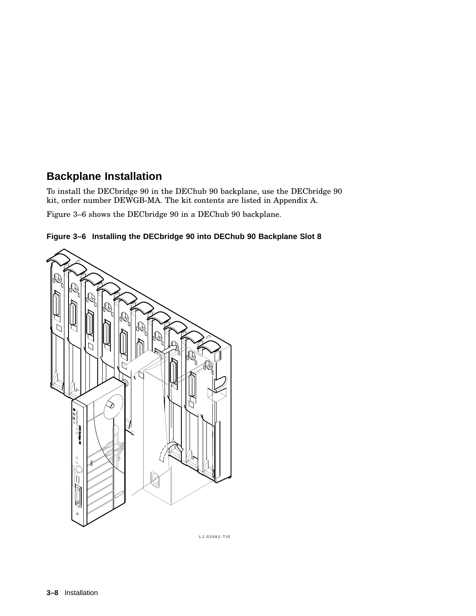## **Backplane Installation**

To install the DECbridge 90 in the DEChub 90 backplane, use the DECbridge 90 kit, order number DEWGB-MA. The kit contents are listed in Appendix A.

Figure 3–6 shows the DECbridge 90 in a DEChub 90 backplane.





LJ-02081-TI0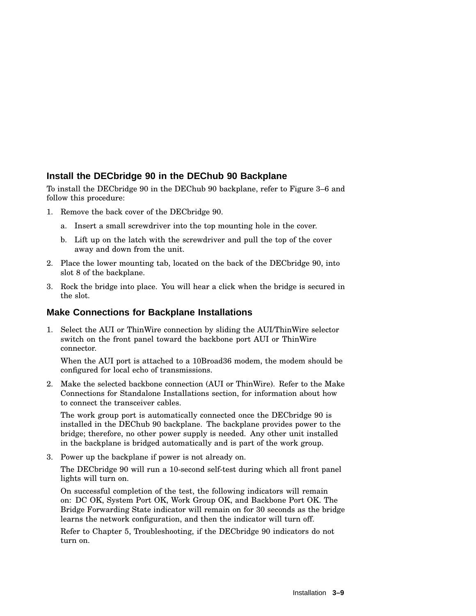## **Install the DECbridge 90 in the DEChub 90 Backplane**

To install the DECbridge 90 in the DEChub 90 backplane, refer to Figure 3–6 and follow this procedure:

- 1. Remove the back cover of the DECbridge 90.
	- a. Insert a small screwdriver into the top mounting hole in the cover.
	- b. Lift up on the latch with the screwdriver and pull the top of the cover away and down from the unit.
- 2. Place the lower mounting tab, located on the back of the DECbridge 90, into slot 8 of the backplane.
- 3. Rock the bridge into place. You will hear a click when the bridge is secured in the slot.

### **Make Connections for Backplane Installations**

1. Select the AUI or ThinWire connection by sliding the AUI/ThinWire selector switch on the front panel toward the backbone port AUI or ThinWire connector.

When the AUI port is attached to a 10Broad36 modem, the modem should be configured for local echo of transmissions.

2. Make the selected backbone connection (AUI or ThinWire). Refer to the Make Connections for Standalone Installations section, for information about how to connect the transceiver cables.

The work group port is automatically connected once the DECbridge 90 is installed in the DEChub 90 backplane. The backplane provides power to the bridge; therefore, no other power supply is needed. Any other unit installed in the backplane is bridged automatically and is part of the work group.

3. Power up the backplane if power is not already on.

The DECbridge 90 will run a 10-second self-test during which all front panel lights will turn on.

On successful completion of the test, the following indicators will remain on: DC OK, System Port OK, Work Group OK, and Backbone Port OK. The Bridge Forwarding State indicator will remain on for 30 seconds as the bridge learns the network configuration, and then the indicator will turn off.

Refer to Chapter 5, Troubleshooting, if the DECbridge 90 indicators do not turn on.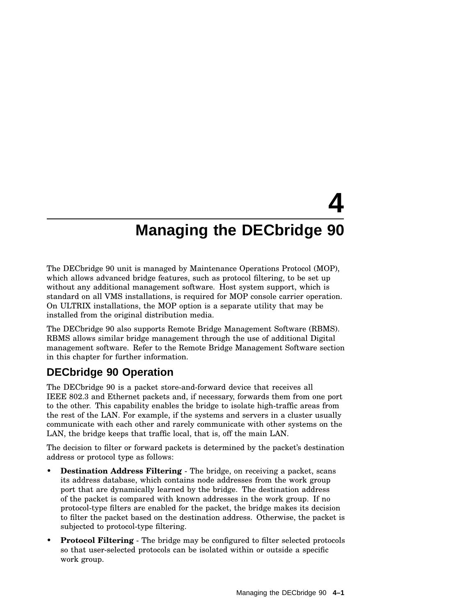# **4 Managing the DECbridge 90**

The DECbridge 90 unit is managed by Maintenance Operations Protocol (MOP), which allows advanced bridge features, such as protocol filtering, to be set up without any additional management software. Host system support, which is standard on all VMS installations, is required for MOP console carrier operation. On ULTRIX installations, the MOP option is a separate utility that may be installed from the original distribution media.

The DECbridge 90 also supports Remote Bridge Management Software (RBMS). RBMS allows similar bridge management through the use of additional Digital management software. Refer to the Remote Bridge Management Software section in this chapter for further information.

## **DECbridge 90 Operation**

The DECbridge 90 is a packet store-and-forward device that receives all IEEE 802.3 and Ethernet packets and, if necessary, forwards them from one port to the other. This capability enables the bridge to isolate high-traffic areas from the rest of the LAN. For example, if the systems and servers in a cluster usually communicate with each other and rarely communicate with other systems on the LAN, the bridge keeps that traffic local, that is, off the main LAN.

The decision to filter or forward packets is determined by the packet's destination address or protocol type as follows:

- **Destination Address Filtering** The bridge, on receiving a packet, scans its address database, which contains node addresses from the work group port that are dynamically learned by the bridge. The destination address of the packet is compared with known addresses in the work group. If no protocol-type filters are enabled for the packet, the bridge makes its decision to filter the packet based on the destination address. Otherwise, the packet is subjected to protocol-type filtering.
- **Protocol Filtering** The bridge may be configured to filter selected protocols so that user-selected protocols can be isolated within or outside a specific work group.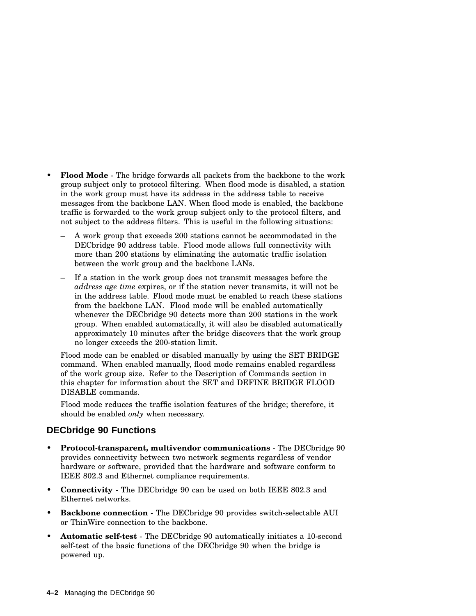- **Flood Mode** The bridge forwards all packets from the backbone to the work group subject only to protocol filtering. When flood mode is disabled, a station in the work group must have its address in the address table to receive messages from the backbone LAN. When flood mode is enabled, the backbone traffic is forwarded to the work group subject only to the protocol filters, and not subject to the address filters. This is useful in the following situations:
	- A work group that exceeds 200 stations cannot be accommodated in the DECbridge 90 address table. Flood mode allows full connectivity with more than 200 stations by eliminating the automatic traffic isolation between the work group and the backbone LANs.
	- If a station in the work group does not transmit messages before the *address age time* expires, or if the station never transmits, it will not be in the address table. Flood mode must be enabled to reach these stations from the backbone LAN. Flood mode will be enabled automatically whenever the DECbridge 90 detects more than 200 stations in the work group. When enabled automatically, it will also be disabled automatically approximately 10 minutes after the bridge discovers that the work group no longer exceeds the 200-station limit.

Flood mode can be enabled or disabled manually by using the SET BRIDGE command. When enabled manually, flood mode remains enabled regardless of the work group size. Refer to the Description of Commands section in this chapter for information about the SET and DEFINE BRIDGE FLOOD DISABLE commands.

Flood mode reduces the traffic isolation features of the bridge; therefore, it should be enabled *only* when necessary.

## **DECbridge 90 Functions**

- **Protocol-transparent, multivendor communications** The DECbridge 90 provides connectivity between two network segments regardless of vendor hardware or software, provided that the hardware and software conform to IEEE 802.3 and Ethernet compliance requirements.
- **Connectivity** The DECbridge 90 can be used on both IEEE 802.3 and Ethernet networks.
- **Backbone connection** The DECbridge 90 provides switch-selectable AUI or ThinWire connection to the backbone.
- **Automatic self-test** The DECbridge 90 automatically initiates a 10-second self-test of the basic functions of the DECbridge 90 when the bridge is powered up.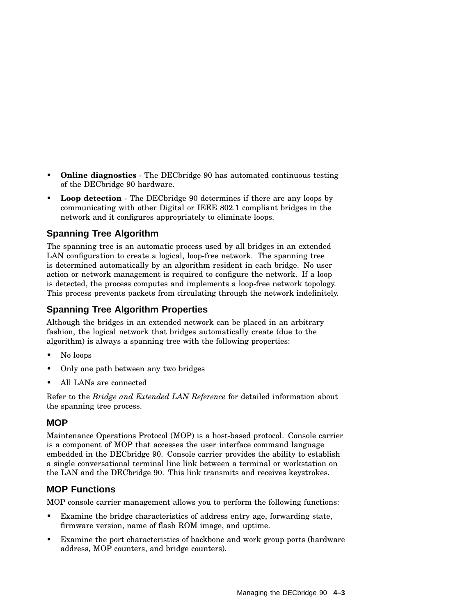- **Online diagnostics** The DECbridge 90 has automated continuous testing of the DECbridge 90 hardware.
- **Loop detection** The DECbridge 90 determines if there are any loops by communicating with other Digital or IEEE 802.1 compliant bridges in the network and it configures appropriately to eliminate loops.

## **Spanning Tree Algorithm**

The spanning tree is an automatic process used by all bridges in an extended LAN configuration to create a logical, loop-free network. The spanning tree is determined automatically by an algorithm resident in each bridge. No user action or network management is required to configure the network. If a loop is detected, the process computes and implements a loop-free network topology. This process prevents packets from circulating through the network indefinitely.

## **Spanning Tree Algorithm Properties**

Although the bridges in an extended network can be placed in an arbitrary fashion, the logical network that bridges automatically create (due to the algorithm) is always a spanning tree with the following properties:

- No loops
- Only one path between any two bridges
- All LANs are connected

Refer to the *Bridge and Extended LAN Reference* for detailed information about the spanning tree process.

## **MOP**

Maintenance Operations Protocol (MOP) is a host-based protocol. Console carrier is a component of MOP that accesses the user interface command language embedded in the DECbridge 90. Console carrier provides the ability to establish a single conversational terminal line link between a terminal or workstation on the LAN and the DECbridge 90. This link transmits and receives keystrokes.

## **MOP Functions**

MOP console carrier management allows you to perform the following functions:

- Examine the bridge characteristics of address entry age, forwarding state, firmware version, name of flash ROM image, and uptime.
- Examine the port characteristics of backbone and work group ports (hardware address, MOP counters, and bridge counters).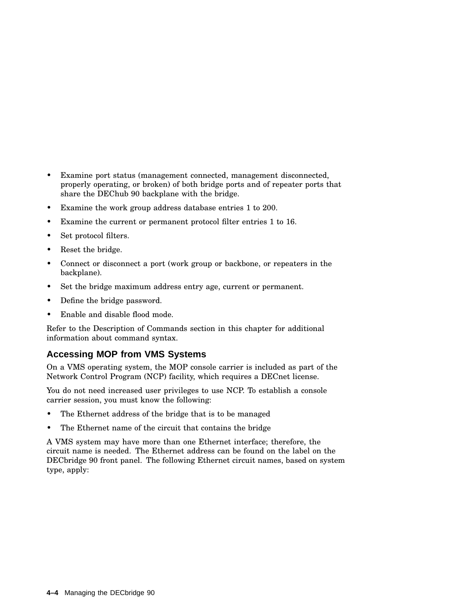- Examine port status (management connected, management disconnected, properly operating, or broken) of both bridge ports and of repeater ports that share the DEChub 90 backplane with the bridge.
- Examine the work group address database entries 1 to 200.
- Examine the current or permanent protocol filter entries 1 to 16.
- Set protocol filters.
- Reset the bridge.
- Connect or disconnect a port (work group or backbone, or repeaters in the backplane).
- Set the bridge maximum address entry age, current or permanent.
- Define the bridge password.
- Enable and disable flood mode.

Refer to the Description of Commands section in this chapter for additional information about command syntax.

## **Accessing MOP from VMS Systems**

On a VMS operating system, the MOP console carrier is included as part of the Network Control Program (NCP) facility, which requires a DECnet license.

You do not need increased user privileges to use NCP. To establish a console carrier session, you must know the following:

- The Ethernet address of the bridge that is to be managed
- The Ethernet name of the circuit that contains the bridge

A VMS system may have more than one Ethernet interface; therefore, the circuit name is needed. The Ethernet address can be found on the label on the DECbridge 90 front panel. The following Ethernet circuit names, based on system type, apply: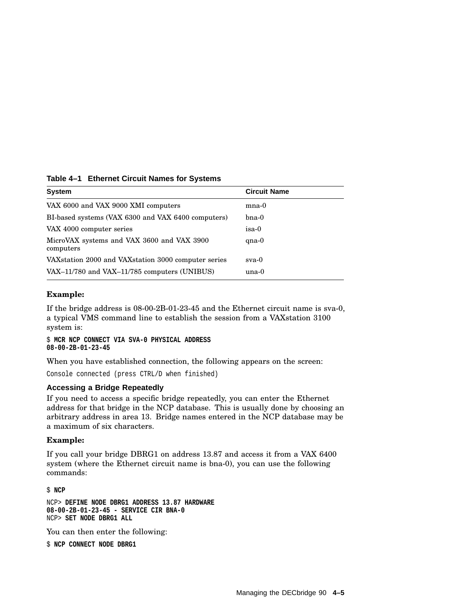| Table 4-1 Ethernet Circuit Names for Systems |  |  |  |  |  |
|----------------------------------------------|--|--|--|--|--|
|----------------------------------------------|--|--|--|--|--|

| <b>System</b>                                           | <b>Circuit Name</b> |
|---------------------------------------------------------|---------------------|
| VAX 6000 and VAX 9000 XMI computers                     | $_{\rm mna-0}$      |
| BI-based systems (VAX 6300 and VAX 6400 computers)      | $b$ na-0            |
| VAX 4000 computer series                                | isa-0               |
| MicroVAX systems and VAX 3600 and VAX 3900<br>computers | $qna-0$             |
| VAX station 2000 and VAX station 3000 computer series   | $sva-0$             |
| VAX-11/780 and VAX-11/785 computers (UNIBUS)            | una-0               |

### **Example:**

If the bridge address is 08-00-2B-01-23-45 and the Ethernet circuit name is sva-0, a typical VMS command line to establish the session from a VAXstation 3100 system is:

\$ **MCR NCP CONNECT VIA SVA-0 PHYSICAL ADDRESS 08-00-2B-01-23-45**

When you have established connection, the following appears on the screen:

Console connected (press CTRL/D when finished)

#### **Accessing a Bridge Repeatedly**

If you need to access a specific bridge repeatedly, you can enter the Ethernet address for that bridge in the NCP database. This is usually done by choosing an arbitrary address in area 13. Bridge names entered in the NCP database may be a maximum of six characters.

#### **Example:**

If you call your bridge DBRG1 on address 13.87 and access it from a VAX 6400 system (where the Ethernet circuit name is bna-0), you can use the following commands:

\$ **NCP**

NCP> **DEFINE NODE DBRG1 ADDRESS 13.87 HARDWARE 08-00-2B-01-23-45 - SERVICE CIR BNA-0** NCP> **SET NODE DBRG1 ALL**

You can then enter the following:

\$ **NCP CONNECT NODE DBRG1**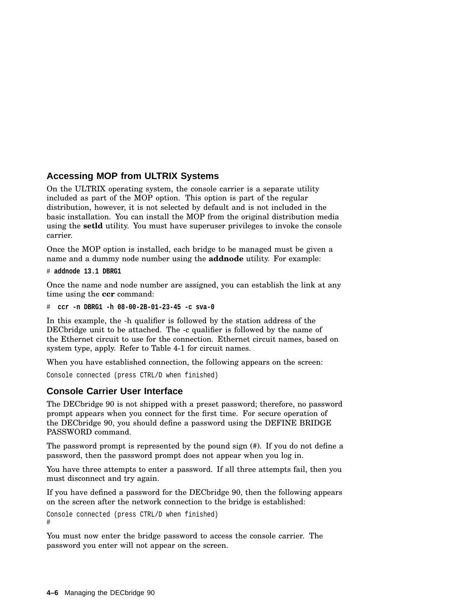## **Accessing MOP from ULTRIX Systems**

On the ULTRIX operating system, the console carrier is a separate utility included as part of the MOP option. This option is part of the regular distribution, however, it is not selected by default and is not included in the basic installation. You can install the MOP from the original distribution media using the **setld** utility. You must have superuser privileges to invoke the console carrier.

Once the MOP option is installed, each bridge to be managed must be given a name and a dummy node number using the **addnode** utility. For example:

```
# addnode 13.1 DBRG1
```
Once the name and node number are assigned, you can establish the link at any time using the **ccr** command:

```
# ccr -n DBRG1 -h 08-00-2B-01-23-45 -c sva-0
```
In this example, the -h qualifier is followed by the station address of the DECbridge unit to be attached. The -c qualifier is followed by the name of the Ethernet circuit to use for the connection. Ethernet circuit names, based on system type, apply. Refer to Table 4-1 for circuit names.

When you have established connection, the following appears on the screen:

```
Console connected (press CTRL/D when finished)
```
## **Console Carrier User Interface**

The DECbridge 90 is not shipped with a preset password; therefore, no password prompt appears when you connect for the first time. For secure operation of the DECbridge 90, you should define a password using the DEFINE BRIDGE PASSWORD command.

The password prompt is represented by the pound sign (#). If you do not define a password, then the password prompt does not appear when you log in.

You have three attempts to enter a password. If all three attempts fail, then you must disconnect and try again.

If you have defined a password for the DECbridge 90, then the following appears on the screen after the network connection to the bridge is established:

Console connected (press CTRL/D when finished) #

You must now enter the bridge password to access the console carrier. The password you enter will not appear on the screen.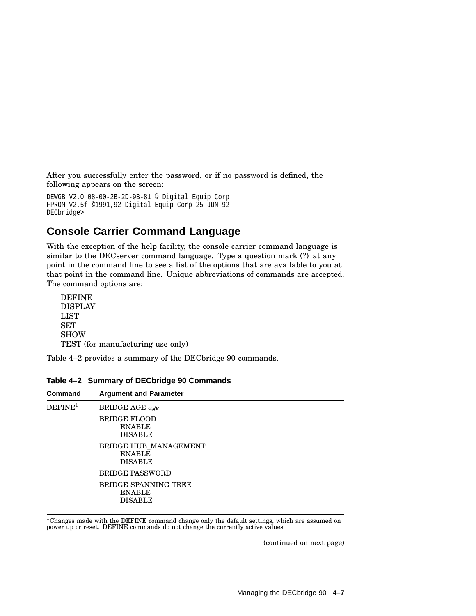After you successfully enter the password, or if no password is defined, the following appears on the screen:

```
DEWGB V2.0 08-00-2B-2D-9B-81 © Digital Equip Corp
FPROM V2.5f ©1991,92 Digital Equip Corp 25-JUN-92
DECbridge>
```
## **Console Carrier Command Language**

With the exception of the help facility, the console carrier command language is similar to the DECserver command language. Type a question mark (?) at any point in the command line to see a list of the options that are available to you at that point in the command line. Unique abbreviations of commands are accepted. The command options are:

```
DEFINE
DISPLAY
LIST
SET
SHOW
TEST (for manufacturing use only)
```
Table 4–2 provides a summary of the DECbridge 90 commands.

| <b>Command</b>      | <b>Argument and Parameter</b>                            |
|---------------------|----------------------------------------------------------|
| DEFINE <sup>1</sup> | <b>BRIDGE AGE</b> age                                    |
|                     | <b>BRIDGE FLOOD</b><br><b>ENABLE</b><br><b>DISABLE</b>   |
|                     | BRIDGE HUB MANAGEMENT<br><b>ENABLE</b><br><b>DISABLE</b> |
|                     | <b>BRIDGE PASSWORD</b>                                   |
|                     | BRIDGE SPANNING TREE<br><b>ENABLE</b><br><b>DISABLE</b>  |

**Table 4–2 Summary of DECbridge 90 Commands**

 $\rm ^1$ Changes made with the DEFINE command change only the default settings, which are assumed on<br>power up or reset. DEFINE commands do not change the currently active values.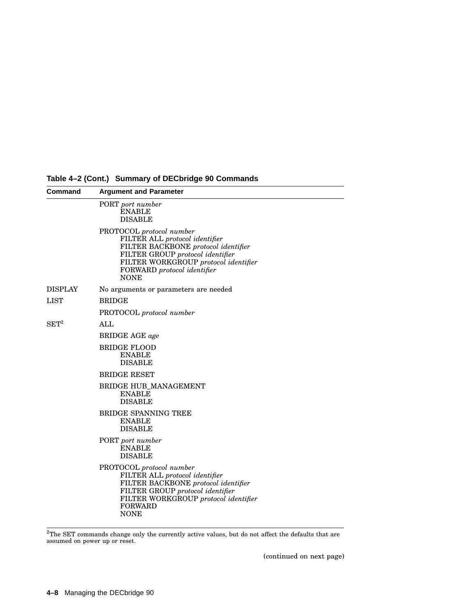| Command            | <b>Argument and Parameter</b>                                                                                                                                                                                               |  |  |
|--------------------|-----------------------------------------------------------------------------------------------------------------------------------------------------------------------------------------------------------------------------|--|--|
|                    | PORT port number<br><b>ENABLE</b><br><b>DISABLE</b>                                                                                                                                                                         |  |  |
|                    | PROTOCOL protocol number<br>FILTER ALL protocol identifier<br>FILTER BACKBONE protocol identifier<br>FILTER GROUP protocol identifier<br>FILTER WORKGROUP protocol identifier<br>FORWARD protocol identifier<br><b>NONE</b> |  |  |
| DISPLAY            | No arguments or parameters are needed                                                                                                                                                                                       |  |  |
| $_{\rm LIST}$      | <b>BRIDGE</b>                                                                                                                                                                                                               |  |  |
|                    | PROTOCOL protocol number                                                                                                                                                                                                    |  |  |
| $\mathrm{SET}^{2}$ | <b>ALL</b>                                                                                                                                                                                                                  |  |  |
|                    | <b>BRIDGE AGE</b> age                                                                                                                                                                                                       |  |  |
|                    | <b>BRIDGE FLOOD</b><br><b>ENABLE</b><br><b>DISABLE</b>                                                                                                                                                                      |  |  |
|                    | <b>BRIDGE RESET</b>                                                                                                                                                                                                         |  |  |
|                    | <b>BRIDGE HUB MANAGEMENT</b><br><b>ENABLE</b><br><b>DISABLE</b>                                                                                                                                                             |  |  |
|                    | <b>BRIDGE SPANNING TREE</b><br><b>ENABLE</b><br><b>DISABLE</b>                                                                                                                                                              |  |  |
|                    | PORT port number<br><b>ENABLE</b><br><b>DISABLE</b>                                                                                                                                                                         |  |  |
|                    | PROTOCOL protocol number<br>FILTER ALL protocol identifier<br>FILTER BACKBONE protocol identifier<br>FILTER GROUP protocol identifier<br>FILTER WORKGROUP protocol identifier<br><b>FORWARD</b><br><b>NONE</b>              |  |  |

**Table 4–2 (Cont.) Summary of DECbridge 90 Commands**

 $^{2}$ The SET commands change only the currently active values, but do not affect the defaults that are assumed on power up or reset.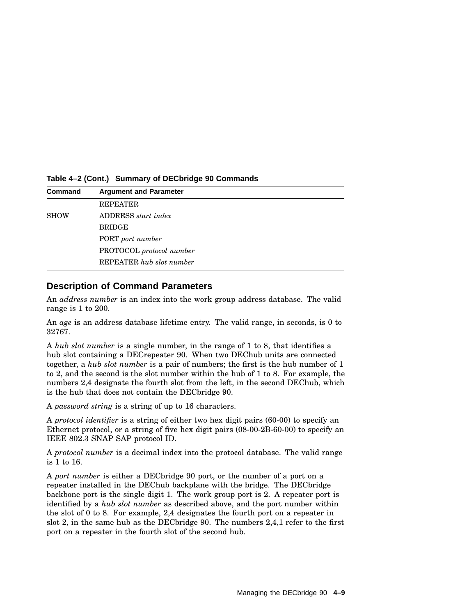**Table 4–2 (Cont.) Summary of DECbridge 90 Commands**

| <b>Command</b> | <b>Argument and Parameter</b> |
|----------------|-------------------------------|
|                | <b>REPEATER</b>               |
| <b>SHOW</b>    | ADDRESS <i>start index</i>    |
|                | <b>BRIDGE</b>                 |
|                | PORT port number              |
|                | PROTOCOL protocol number      |
|                | REPEATER hub slot number      |

### **Description of Command Parameters**

An *address number* is an index into the work group address database. The valid range is 1 to 200.

An *age* is an address database lifetime entry. The valid range, in seconds, is 0 to 32767.

A *hub slot number* is a single number, in the range of 1 to 8, that identifies a hub slot containing a DECrepeater 90. When two DEChub units are connected together, a *hub slot number* is a pair of numbers; the first is the hub number of 1 to 2, and the second is the slot number within the hub of 1 to 8. For example, the numbers 2,4 designate the fourth slot from the left, in the second DEChub, which is the hub that does not contain the DECbridge 90.

A *password string* is a string of up to 16 characters.

A *protocol identifier* is a string of either two hex digit pairs (60-00) to specify an Ethernet protocol, or a string of five hex digit pairs (08-00-2B-60-00) to specify an IEEE 802.3 SNAP SAP protocol ID.

A *protocol number* is a decimal index into the protocol database. The valid range is 1 to 16.

A *port number* is either a DECbridge 90 port, or the number of a port on a repeater installed in the DEChub backplane with the bridge. The DECbridge backbone port is the single digit 1. The work group port is 2. A repeater port is identified by a *hub slot number* as described above, and the port number within the slot of 0 to 8. For example, 2,4 designates the fourth port on a repeater in slot 2, in the same hub as the DECbridge 90. The numbers 2,4,1 refer to the first port on a repeater in the fourth slot of the second hub.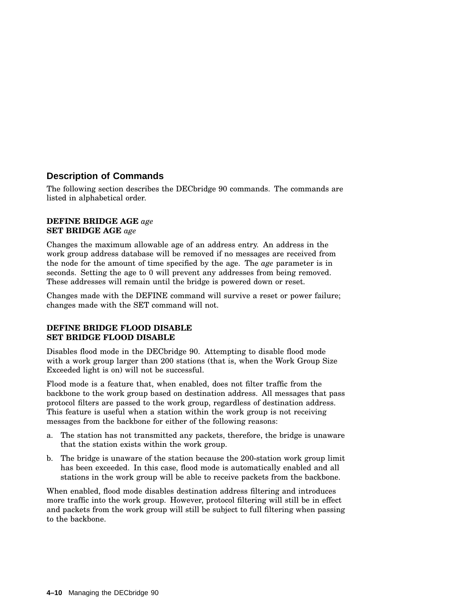## **Description of Commands**

The following section describes the DECbridge 90 commands. The commands are listed in alphabetical order.

#### **DEFINE BRIDGE AGE** *age* **SET BRIDGE AGE** *age*

Changes the maximum allowable age of an address entry. An address in the work group address database will be removed if no messages are received from the node for the amount of time specified by the age. The *age* parameter is in seconds. Setting the age to 0 will prevent any addresses from being removed. These addresses will remain until the bridge is powered down or reset.

Changes made with the DEFINE command will survive a reset or power failure; changes made with the SET command will not.

### **DEFINE BRIDGE FLOOD DISABLE SET BRIDGE FLOOD DISABLE**

Disables flood mode in the DECbridge 90. Attempting to disable flood mode with a work group larger than 200 stations (that is, when the Work Group Size Exceeded light is on) will not be successful.

Flood mode is a feature that, when enabled, does not filter traffic from the backbone to the work group based on destination address. All messages that pass protocol filters are passed to the work group, regardless of destination address. This feature is useful when a station within the work group is not receiving messages from the backbone for either of the following reasons:

- a. The station has not transmitted any packets, therefore, the bridge is unaware that the station exists within the work group.
- b. The bridge is unaware of the station because the 200-station work group limit has been exceeded. In this case, flood mode is automatically enabled and all stations in the work group will be able to receive packets from the backbone.

When enabled, flood mode disables destination address filtering and introduces more traffic into the work group. However, protocol filtering will still be in effect and packets from the work group will still be subject to full filtering when passing to the backbone.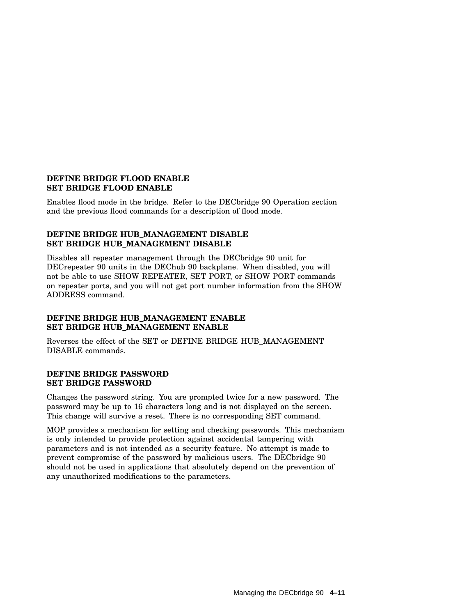#### **DEFINE BRIDGE FLOOD ENABLE SET BRIDGE FLOOD ENABLE**

Enables flood mode in the bridge. Refer to the DECbridge 90 Operation section and the previous flood commands for a description of flood mode.

## **DEFINE BRIDGE HUB\_MANAGEMENT DISABLE SET BRIDGE HUB\_MANAGEMENT DISABLE**

Disables all repeater management through the DECbridge 90 unit for DECrepeater 90 units in the DEChub 90 backplane. When disabled, you will not be able to use SHOW REPEATER, SET PORT, or SHOW PORT commands on repeater ports, and you will not get port number information from the SHOW ADDRESS command.

## **DEFINE BRIDGE HUB\_MANAGEMENT ENABLE SET BRIDGE HUB\_MANAGEMENT ENABLE**

Reverses the effect of the SET or DEFINE BRIDGE HUB\_MANAGEMENT DISABLE commands.

#### **DEFINE BRIDGE PASSWORD SET BRIDGE PASSWORD**

Changes the password string. You are prompted twice for a new password. The password may be up to 16 characters long and is not displayed on the screen. This change will survive a reset. There is no corresponding SET command.

MOP provides a mechanism for setting and checking passwords. This mechanism is only intended to provide protection against accidental tampering with parameters and is not intended as a security feature. No attempt is made to prevent compromise of the password by malicious users. The DECbridge 90 should not be used in applications that absolutely depend on the prevention of any unauthorized modifications to the parameters.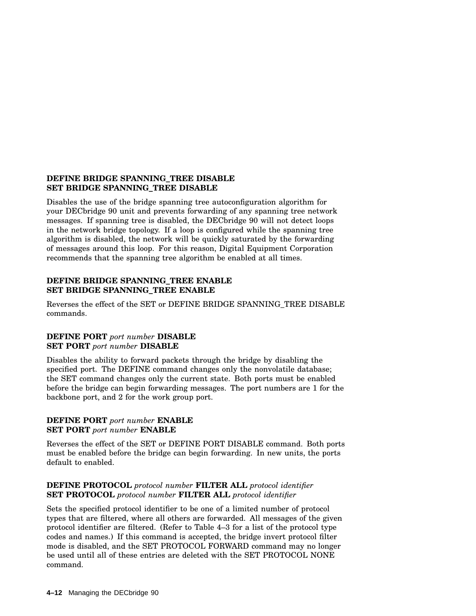#### **DEFINE BRIDGE SPANNING\_TREE DISABLE SET BRIDGE SPANNING\_TREE DISABLE**

Disables the use of the bridge spanning tree autoconfiguration algorithm for your DECbridge 90 unit and prevents forwarding of any spanning tree network messages. If spanning tree is disabled, the DECbridge 90 will not detect loops in the network bridge topology. If a loop is configured while the spanning tree algorithm is disabled, the network will be quickly saturated by the forwarding of messages around this loop. For this reason, Digital Equipment Corporation recommends that the spanning tree algorithm be enabled at all times.

### **DEFINE BRIDGE SPANNING\_TREE ENABLE SET BRIDGE SPANNING\_TREE ENABLE**

Reverses the effect of the SET or DEFINE BRIDGE SPANNING\_TREE DISABLE commands.

### **DEFINE PORT** *port number* **DISABLE SET PORT** *port number* **DISABLE**

Disables the ability to forward packets through the bridge by disabling the specified port. The DEFINE command changes only the nonvolatile database; the SET command changes only the current state. Both ports must be enabled before the bridge can begin forwarding messages. The port numbers are 1 for the backbone port, and 2 for the work group port.

### **DEFINE PORT** *port number* **ENABLE SET PORT** *port number* **ENABLE**

Reverses the effect of the SET or DEFINE PORT DISABLE command. Both ports must be enabled before the bridge can begin forwarding. In new units, the ports default to enabled.

## **DEFINE PROTOCOL** *protocol number* **FILTER ALL** *protocol identifier* **SET PROTOCOL** *protocol number* **FILTER ALL** *protocol identifier*

Sets the specified protocol identifier to be one of a limited number of protocol types that are filtered, where all others are forwarded. All messages of the given protocol identifier are filtered. (Refer to Table 4–3 for a list of the protocol type codes and names.) If this command is accepted, the bridge invert protocol filter mode is disabled, and the SET PROTOCOL FORWARD command may no longer be used until all of these entries are deleted with the SET PROTOCOL NONE command.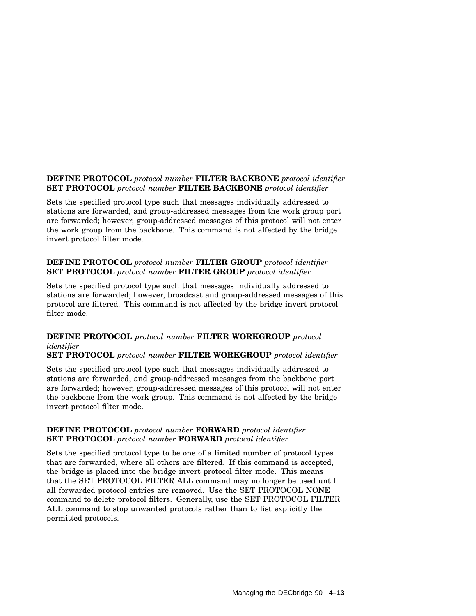## **DEFINE PROTOCOL** *protocol number* **FILTER BACKBONE** *protocol identifier* **SET PROTOCOL** *protocol number* **FILTER BACKBONE** *protocol identifier*

Sets the specified protocol type such that messages individually addressed to stations are forwarded, and group-addressed messages from the work group port are forwarded; however, group-addressed messages of this protocol will not enter the work group from the backbone. This command is not affected by the bridge invert protocol filter mode.

## **DEFINE PROTOCOL** *protocol number* **FILTER GROUP** *protocol identifier* **SET PROTOCOL** *protocol number* **FILTER GROUP** *protocol identifier*

Sets the specified protocol type such that messages individually addressed to stations are forwarded; however, broadcast and group-addressed messages of this protocol are filtered. This command is not affected by the bridge invert protocol filter mode.

## **DEFINE PROTOCOL** *protocol number* **FILTER WORKGROUP** *protocol identifier*

**SET PROTOCOL** *protocol number* **FILTER WORKGROUP** *protocol identifier*

Sets the specified protocol type such that messages individually addressed to stations are forwarded, and group-addressed messages from the backbone port are forwarded; however, group-addressed messages of this protocol will not enter the backbone from the work group. This command is not affected by the bridge invert protocol filter mode.

### **DEFINE PROTOCOL** *protocol number* **FORWARD** *protocol identifier* **SET PROTOCOL** *protocol number* **FORWARD** *protocol identifier*

Sets the specified protocol type to be one of a limited number of protocol types that are forwarded, where all others are filtered. If this command is accepted, the bridge is placed into the bridge invert protocol filter mode. This means that the SET PROTOCOL FILTER ALL command may no longer be used until all forwarded protocol entries are removed. Use the SET PROTOCOL NONE command to delete protocol filters. Generally, use the SET PROTOCOL FILTER ALL command to stop unwanted protocols rather than to list explicitly the permitted protocols.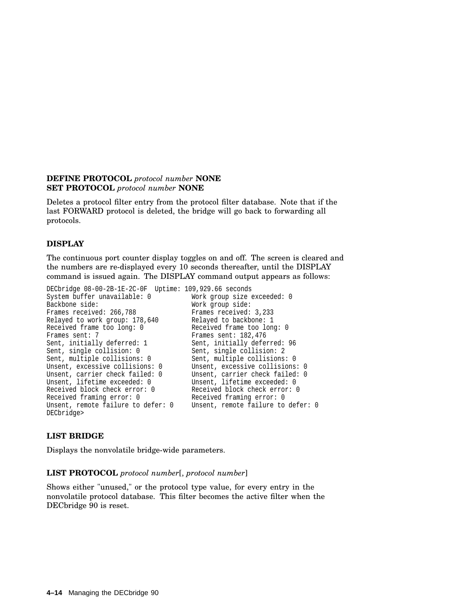#### **DEFINE PROTOCOL** *protocol number* **NONE SET PROTOCOL** *protocol number* **NONE**

Deletes a protocol filter entry from the protocol filter database. Note that if the last FORWARD protocol is deleted, the bridge will go back to forwarding all protocols.

## **DISPLAY**

The continuous port counter display toggles on and off. The screen is cleared and the numbers are re-displayed every 10 seconds thereafter, until the DISPLAY command is issued again. The DISPLAY command output appears as follows:

```
DECbridge 08-00-2B-1E-2C-0F Uptime: 109,929.66 seconds
System buffer unavailable: 0 Work group size exceeded: 0<br>Backbone side: 0<br>Work group side:
                                           Work group side:<br>Frames received: 3,233
Frames received: 266,788
Relayed to work group: 178,640 Relayed to backbone: 1
Received frame too long: 0 Received frame too long: 0
Frames sent: 7 Frames sent: 182,476
Sent, initially deferred: 1 Sent, initially deferred: 96<br>Sent, single collision: 0 Sent, single collision: 2
                                           Sent, single collision: 2
Sent, multiple collisions: 0 Sent, multiple collisions: 0
Unsent, excessive collisions: 0 Unsent, excessive collisions: 0<br>Unsent, carrier check failed: 0 Unsent, carrier check failed: 0
                                           Unsent, carrier check failed: 0<br>Unsent, lifetime exceeded: 0
Unsent, lifetime exceeded: 0
Received block check error: 0 Received block check error: 0
Received framing error: 0 Received framing error: 0
Unsent, remote failure to defer: 0
DECbridge>
```
## **LIST BRIDGE**

Displays the nonvolatile bridge-wide parameters.

#### **LIST PROTOCOL** *protocol number*[, *protocol number*]

Shows either "unused," or the protocol type value, for every entry in the nonvolatile protocol database. This filter becomes the active filter when the DECbridge 90 is reset.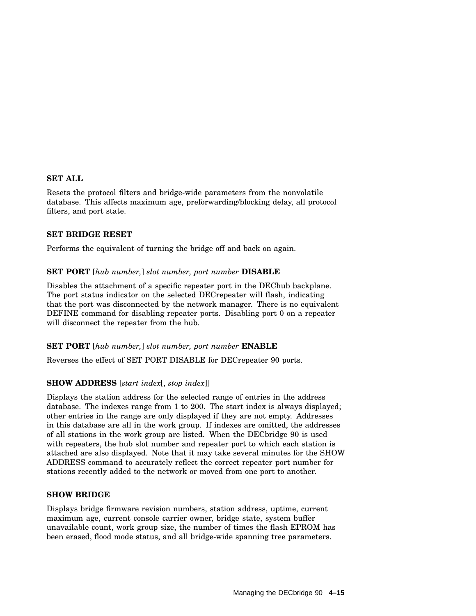#### **SET ALL**

Resets the protocol filters and bridge-wide parameters from the nonvolatile database. This affects maximum age, preforwarding/blocking delay, all protocol filters, and port state.

#### **SET BRIDGE RESET**

Performs the equivalent of turning the bridge off and back on again.

#### **SET PORT** [*hub number,*] *slot number, port number* **DISABLE**

Disables the attachment of a specific repeater port in the DEChub backplane. The port status indicator on the selected DECrepeater will flash, indicating that the port was disconnected by the network manager. There is no equivalent DEFINE command for disabling repeater ports. Disabling port 0 on a repeater will disconnect the repeater from the hub.

#### **SET PORT** [*hub number,*] *slot number, port number* **ENABLE**

Reverses the effect of SET PORT DISABLE for DECrepeater 90 ports.

#### **SHOW ADDRESS** [*start index*[, *stop index*]]

Displays the station address for the selected range of entries in the address database. The indexes range from 1 to 200. The start index is always displayed; other entries in the range are only displayed if they are not empty. Addresses in this database are all in the work group. If indexes are omitted, the addresses of all stations in the work group are listed. When the DECbridge 90 is used with repeaters, the hub slot number and repeater port to which each station is attached are also displayed. Note that it may take several minutes for the SHOW ADDRESS command to accurately reflect the correct repeater port number for stations recently added to the network or moved from one port to another.

#### **SHOW BRIDGE**

Displays bridge firmware revision numbers, station address, uptime, current maximum age, current console carrier owner, bridge state, system buffer unavailable count, work group size, the number of times the flash EPROM has been erased, flood mode status, and all bridge-wide spanning tree parameters.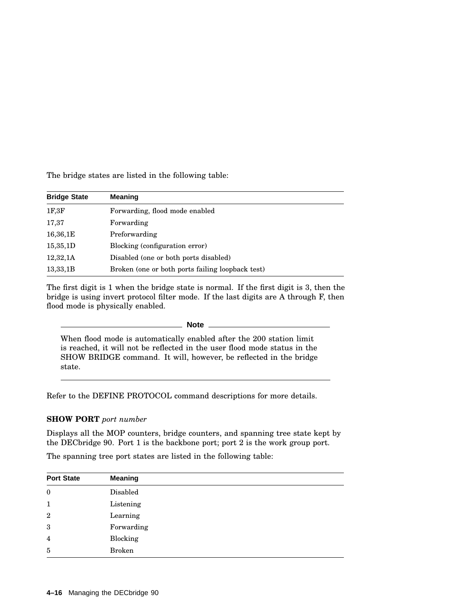The bridge states are listed in the following table:

| <b>Bridge State</b> | <b>Meaning</b>                                   |
|---------------------|--------------------------------------------------|
| 1F, 3F              | Forwarding, flood mode enabled                   |
| 17,37               | Forwarding                                       |
| 16,36,1E            | Preforwarding                                    |
| 15,35,1D            | Blocking (configuration error)                   |
| 12,32,1A            | Disabled (one or both ports disabled)            |
| 13,33,1B            | Broken (one or both ports failing loopback test) |

The first digit is 1 when the bridge state is normal. If the first digit is 3, then the bridge is using invert protocol filter mode. If the last digits are A through F, then flood mode is physically enabled.

**Note**

When flood mode is automatically enabled after the 200 station limit is reached, it will not be reflected in the user flood mode status in the SHOW BRIDGE command. It will, however, be reflected in the bridge state.

Refer to the DEFINE PROTOCOL command descriptions for more details.

#### **SHOW PORT** *port number*

Displays all the MOP counters, bridge counters, and spanning tree state kept by the DECbridge 90. Port 1 is the backbone port; port 2 is the work group port.

The spanning tree port states are listed in the following table:

| <b>Port State</b> | <b>Meaning</b> |
|-------------------|----------------|
| $\bf{0}$          | Disabled       |
| $\mathbf{1}$      | Listening      |
| $\overline{2}$    | Learning       |
| 3                 | Forwarding     |
| $\overline{4}$    | Blocking       |
| 5                 | <b>Broken</b>  |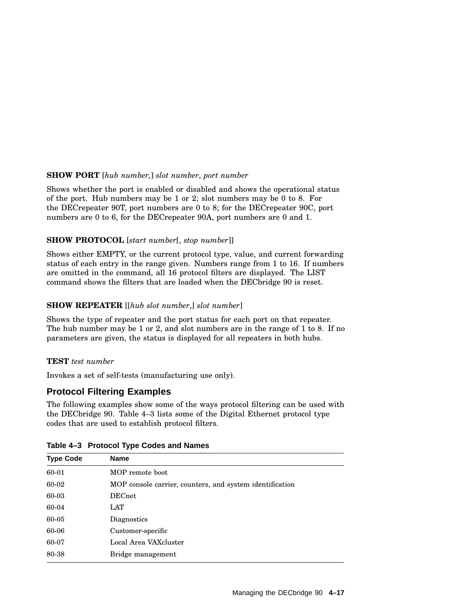### **SHOW PORT** [*hub number,*] *slot number*, *port number*

Shows whether the port is enabled or disabled and shows the operational status of the port. Hub numbers may be 1 or 2; slot numbers may be 0 to 8. For the DECrepeater 90T, port numbers are 0 to 8; for the DECrepeater 90C, port numbers are 0 to 6, for the DECrepeater 90A, port numbers are 0 and 1.

### **SHOW PROTOCOL** [*start number*[, *stop number*]]

Shows either EMPTY, or the current protocol type, value, and current forwarding status of each entry in the range given. Numbers range from 1 to 16. If numbers are omitted in the command, all 16 protocol filters are displayed. The LIST command shows the filters that are loaded when the DECbridge 90 is reset.

## **SHOW REPEATER** [[*hub slot number*,] *slot number*]

Shows the type of repeater and the port status for each port on that repeater. The hub number may be 1 or 2, and slot numbers are in the range of 1 to 8. If no parameters are given, the status is displayed for all repeaters in both hubs.

## **TEST** *test number*

Invokes a set of self-tests (manufacturing use only).

## **Protocol Filtering Examples**

The following examples show some of the ways protocol filtering can be used with the DECbridge 90. Table 4–3 lists some of the Digital Ethernet protocol type codes that are used to establish protocol filters.

| <b>Type Code</b> | <b>Name</b>                                              |
|------------------|----------------------------------------------------------|
| 60-01            | MOP remote boot                                          |
| 60-02            | MOP console carrier, counters, and system identification |
| 60-03            | <b>DECnet</b>                                            |
| 60-04            | LAT                                                      |
| 60-05            | <b>Diagnostics</b>                                       |
| 60-06            | Customer-specific                                        |
| 60-07            | Local Area VAXcluster                                    |
| 80-38            | Bridge management                                        |

#### **Table 4–3 Protocol Type Codes and Names**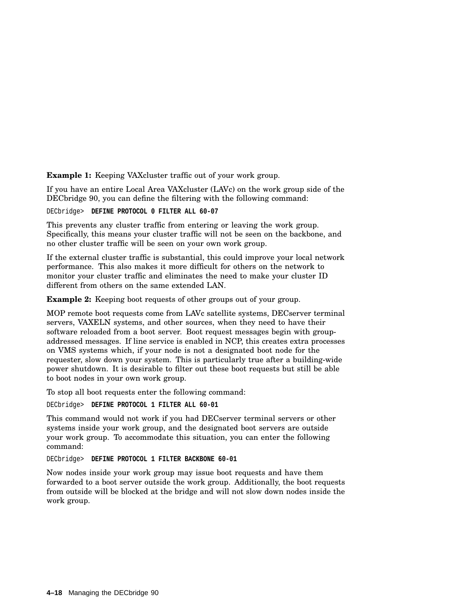**Example 1:** Keeping VAXcluster traffic out of your work group.

If you have an entire Local Area VAXcluster (LAVc) on the work group side of the DECbridge 90, you can define the filtering with the following command:

DECbridge> **DEFINE PROTOCOL 0 FILTER ALL 60-07**

This prevents any cluster traffic from entering or leaving the work group. Specifically, this means your cluster traffic will not be seen on the backbone, and no other cluster traffic will be seen on your own work group.

If the external cluster traffic is substantial, this could improve your local network performance. This also makes it more difficult for others on the network to monitor your cluster traffic and eliminates the need to make your cluster ID different from others on the same extended LAN.

**Example 2:** Keeping boot requests of other groups out of your group.

MOP remote boot requests come from LAVc satellite systems, DECserver terminal servers, VAXELN systems, and other sources, when they need to have their software reloaded from a boot server. Boot request messages begin with groupaddressed messages. If line service is enabled in NCP, this creates extra processes on VMS systems which, if your node is not a designated boot node for the requester, slow down your system. This is particularly true after a building-wide power shutdown. It is desirable to filter out these boot requests but still be able to boot nodes in your own work group.

To stop all boot requests enter the following command:

DECbridge> **DEFINE PROTOCOL 1 FILTER ALL 60-01**

This command would not work if you had DECserver terminal servers or other systems inside your work group, and the designated boot servers are outside your work group. To accommodate this situation, you can enter the following command:

DECbridge> **DEFINE PROTOCOL 1 FILTER BACKBONE 60-01**

Now nodes inside your work group may issue boot requests and have them forwarded to a boot server outside the work group. Additionally, the boot requests from outside will be blocked at the bridge and will not slow down nodes inside the work group.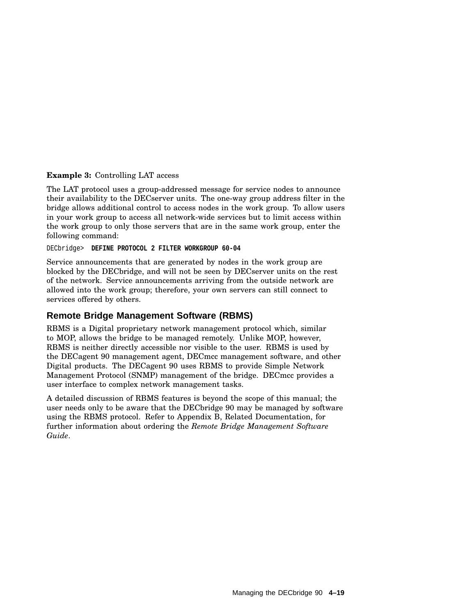#### **Example 3:** Controlling LAT access

The LAT protocol uses a group-addressed message for service nodes to announce their availability to the DECserver units. The one-way group address filter in the bridge allows additional control to access nodes in the work group. To allow users in your work group to access all network-wide services but to limit access within the work group to only those servers that are in the same work group, enter the following command:

DECbridge> **DEFINE PROTOCOL 2 FILTER WORKGROUP 60-04**

Service announcements that are generated by nodes in the work group are blocked by the DECbridge, and will not be seen by DECserver units on the rest of the network. Service announcements arriving from the outside network are allowed into the work group; therefore, your own servers can still connect to services offered by others.

## **Remote Bridge Management Software (RBMS)**

RBMS is a Digital proprietary network management protocol which, similar to MOP, allows the bridge to be managed remotely. Unlike MOP, however, RBMS is neither directly accessible nor visible to the user. RBMS is used by the DECagent 90 management agent, DECmcc management software, and other Digital products. The DECagent 90 uses RBMS to provide Simple Network Management Protocol (SNMP) management of the bridge. DECmcc provides a user interface to complex network management tasks.

A detailed discussion of RBMS features is beyond the scope of this manual; the user needs only to be aware that the DECbridge 90 may be managed by software using the RBMS protocol. Refer to Appendix B, Related Documentation, for further information about ordering the *Remote Bridge Management Software Guide*.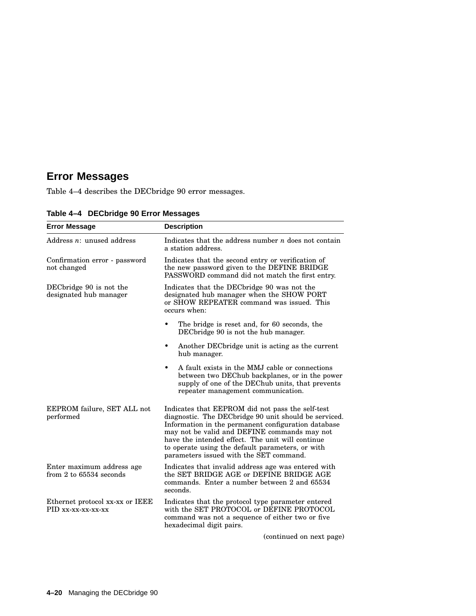# **Error Messages**

Table 4–4 describes the DECbridge 90 error messages.

| <b>Error Message</b>                                     | <b>Description</b>                                                                                                                                                                                                                                                                                                                                                  |
|----------------------------------------------------------|---------------------------------------------------------------------------------------------------------------------------------------------------------------------------------------------------------------------------------------------------------------------------------------------------------------------------------------------------------------------|
| Address $n:$ unused address                              | Indicates that the address number $n$ does not contain<br>a station address.                                                                                                                                                                                                                                                                                        |
| Confirmation error - password<br>not changed             | Indicates that the second entry or verification of<br>the new password given to the DEFINE BRIDGE<br>PASSWORD command did not match the first entry.                                                                                                                                                                                                                |
| DECbridge 90 is not the<br>designated hub manager        | Indicates that the DECbridge 90 was not the<br>designated hub manager when the SHOW PORT<br>or SHOW REPEATER command was issued. This<br>occurs when:                                                                                                                                                                                                               |
|                                                          | The bridge is reset and, for 60 seconds, the<br>$\bullet$<br>DECbridge 90 is not the hub manager.                                                                                                                                                                                                                                                                   |
|                                                          | Another DEC bridge unit is acting as the current<br>٠<br>hub manager.                                                                                                                                                                                                                                                                                               |
|                                                          | A fault exists in the MMJ cable or connections<br>٠<br>between two DEChub backplanes, or in the power<br>supply of one of the DEChub units, that prevents<br>repeater management communication.                                                                                                                                                                     |
| EEPROM failure, SET ALL not<br>performed                 | Indicates that EEPROM did not pass the self-test<br>diagnostic. The DECbridge 90 unit should be serviced.<br>Information in the permanent configuration database<br>may not be valid and DEFINE commands may not<br>have the intended effect. The unit will continue<br>to operate using the default parameters, or with<br>parameters issued with the SET command. |
| Enter maximum address age<br>from $2$ to $65534$ seconds | Indicates that invalid address age was entered with<br>the SET BRIDGE AGE or DEFINE BRIDGE AGE<br>commands. Enter a number between 2 and 65534<br>seconds.                                                                                                                                                                                                          |
| Ethernet protocol xx-xx or IEEE<br>PID xx-xx-xx-xx-xx    | Indicates that the protocol type parameter entered<br>with the SET PROTOCOL or DEFINE PROTOCOL<br>command was not a sequence of either two or five<br>hexadecimal digit pairs.                                                                                                                                                                                      |

**Table 4–4 DECbridge 90 Error Messages**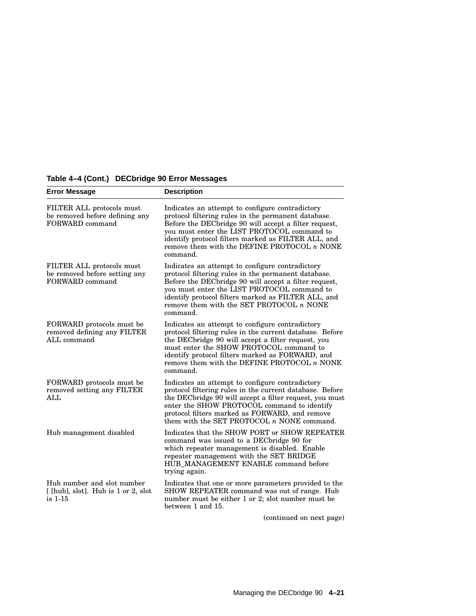| <b>Error Message</b>                                                           | <b>Description</b>                                                                                                                                                                                                                                                                                                                 |
|--------------------------------------------------------------------------------|------------------------------------------------------------------------------------------------------------------------------------------------------------------------------------------------------------------------------------------------------------------------------------------------------------------------------------|
| FILTER ALL protocols must<br>be removed before defining any<br>FORWARD command | Indicates an attempt to configure contradictory<br>protocol filtering rules in the permanent database.<br>Before the DECbridge 90 will accept a filter request,<br>you must enter the LIST PROTOCOL command to<br>identify protocol filters marked as FILTER ALL, and<br>remove them with the DEFINE PROTOCOL $n$ NONE<br>command. |
| FILTER ALL protocols must<br>be removed before setting any<br>FORWARD command  | Indicates an attempt to configure contradictory<br>protocol filtering rules in the permanent database.<br>Before the DEC bridge 90 will accept a filter request,<br>you must enter the LIST PROTOCOL command to<br>identify protocol filters marked as FILTER ALL, and<br>remove them with the SET PROTOCOL $n$ NONE<br>command.   |
| FORWARD protocols must be<br>removed defining any FILTER<br>ALL command        | Indicates an attempt to configure contradictory<br>protocol filtering rules in the current database. Before<br>the DECbridge 90 will accept a filter request, you<br>must enter the SHOW PROTOCOL command to<br>identify protocol filters marked as FORWARD, and<br>remove them with the DEFINE PROTOCOL $n$ NONE<br>command.      |
| FORWARD protocols must be<br>removed setting any FILTER<br><b>ALL</b>          | Indicates an attempt to configure contradictory<br>protocol filtering rules in the current database. Before<br>the DECbridge 90 will accept a filter request, you must<br>enter the SHOW PROTOCOL command to identify<br>protocol filters marked as FORWARD, and remove<br>them with the SET PROTOCOL $n$ NONE command.            |
| Hub management disabled                                                        | Indicates that the SHOW PORT or SHOW REPEATER<br>command was issued to a DECbridge 90 for<br>which repeater management is disabled. Enable<br>repeater management with the SET BRIDGE<br>HUB_MANAGEMENT ENABLE command before<br>trying again.                                                                                     |
| Hub number and slot number<br>[[hub], slot]. Hub is 1 or 2, slot<br>is 1-15    | Indicates that one or more parameters provided to the<br>SHOW REPEATER command was out of range. Hub<br>number must be either 1 or 2; slot number must be<br>between 1 and 15.<br>(continued on nort name)                                                                                                                         |

## **Table 4–4 (Cont.) DECbridge 90 Error Messages**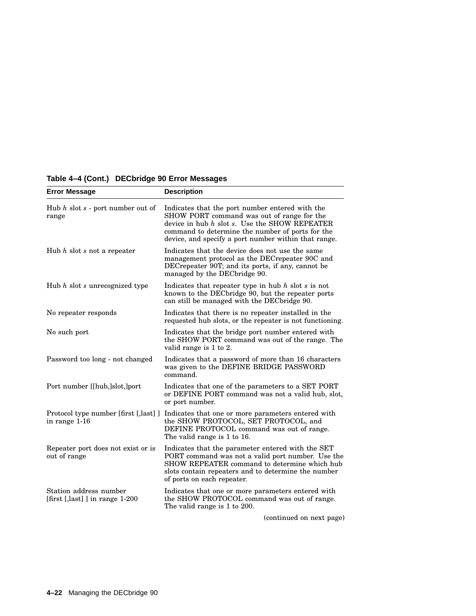| <b>Error Message</b>                                     | <b>Description</b>                                                                                                                                                                                                                                              |
|----------------------------------------------------------|-----------------------------------------------------------------------------------------------------------------------------------------------------------------------------------------------------------------------------------------------------------------|
| Hub $h$ slot $s$ - port number out of<br>range           | Indicates that the port number entered with the<br>SHOW PORT command was out of range for the<br>device in hub $h$ slot $s$ . Use the SHOW REPEATER<br>command to determine the number of ports for the<br>device, and specify a port number within that range. |
| Hub $h$ slot $s$ not a repeater                          | Indicates that the device does not use the same<br>management protocol as the DECrepeater 90C and<br>DECrepeater 90T; and its ports, if any, cannot be<br>managed by the DEC bridge 90.                                                                         |
| Hub $h$ slot $s$ unrecognized type                       | Indicates that repeater type in hub $h$ slot $s$ is not<br>known to the DEC bridge 90, but the repeater ports<br>can still be managed with the DEC bridge 90.                                                                                                   |
| No repeater responds                                     | Indicates that there is no repeater installed in the<br>requested hub slots, or the repeater is not functioning.                                                                                                                                                |
| No such port                                             | Indicates that the bridge port number entered with<br>the SHOW PORT command was out of the range. The<br>valid range is 1 to 2.                                                                                                                                 |
| Password too long - not changed                          | Indicates that a password of more than 16 characters<br>was given to the DEFINE BRIDGE PASSWORD<br>command.                                                                                                                                                     |
| Port number [[hub,]slot,]port                            | Indicates that one of the parameters to a SET PORT<br>or DEFINE PORT command was not a valid hub, slot,<br>or port number.                                                                                                                                      |
| Protocol type number [first [,last] ]<br>in range 1-16   | Indicates that one or more parameters entered with<br>the SHOW PROTOCOL, SET PROTOCOL, and<br>DEFINE PROTOCOL command was out of range.<br>The valid range is 1 to 16.                                                                                          |
| Repeater port does not exist or is<br>out of range       | Indicates that the parameter entered with the SET<br>PORT command was not a valid port number. Use the<br>SHOW REPEATER command to determine which hub<br>slots contain repeaters and to determine the number<br>of ports on each repeater.                     |
| Station address number<br>[first [,last]] in range 1-200 | Indicates that one or more parameters entered with<br>the SHOW PROTOCOL command was out of range.<br>The valid range is 1 to 200.                                                                                                                               |
|                                                          | (continued on nort noge)                                                                                                                                                                                                                                        |

## **Table 4–4 (Cont.) DECbridge 90 Error Messages**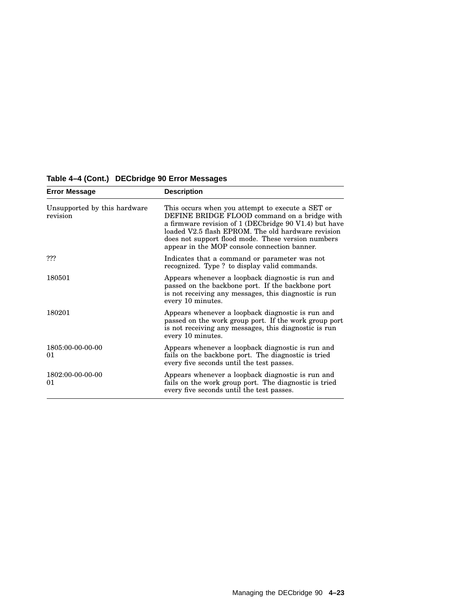| <b>Error Message</b>                     | <b>Description</b>                                                                                                                                                                                                                                                                                                     |
|------------------------------------------|------------------------------------------------------------------------------------------------------------------------------------------------------------------------------------------------------------------------------------------------------------------------------------------------------------------------|
| Unsupported by this hardware<br>revision | This occurs when you attempt to execute a SET or<br>DEFINE BRIDGE FLOOD command on a bridge with<br>a firmware revision of 1 (DEC bridge 90 V1.4) but have<br>loaded V2.5 flash EPROM. The old hardware revision<br>does not support flood mode. These version numbers<br>appear in the MOP console connection banner. |
| ???                                      | Indicates that a command or parameter was not<br>recognized. Type ? to display valid commands.                                                                                                                                                                                                                         |
| 180501                                   | Appears whenever a loopback diagnostic is run and<br>passed on the backbone port. If the backbone port<br>is not receiving any messages, this diagnostic is run<br>every 10 minutes.                                                                                                                                   |
| 180201                                   | Appears whenever a loopback diagnostic is run and<br>passed on the work group port. If the work group port<br>is not receiving any messages, this diagnostic is run<br>every 10 minutes.                                                                                                                               |
| 1805:00-00-00-00<br>01                   | Appears whenever a loopback diagnostic is run and<br>fails on the backbone port. The diagnostic is tried<br>every five seconds until the test passes.                                                                                                                                                                  |
| 1802:00-00-00-00<br>01                   | Appears whenever a loopback diagnostic is run and<br>fails on the work group port. The diagnostic is tried<br>every five seconds until the test passes.                                                                                                                                                                |

## **Table 4–4 (Cont.) DECbridge 90 Error Messages**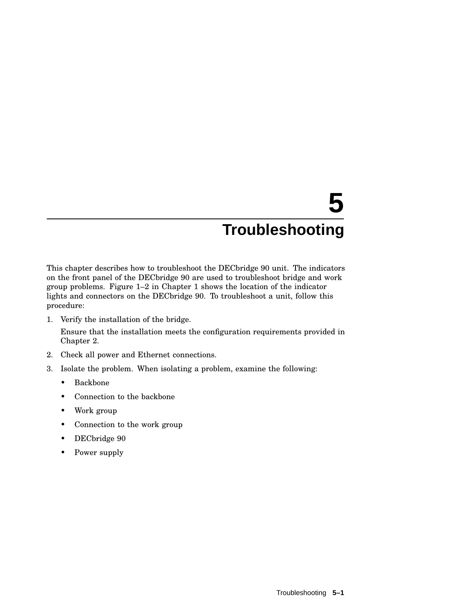# **5 Troubleshooting**

This chapter describes how to troubleshoot the DECbridge 90 unit. The indicators on the front panel of the DECbridge 90 are used to troubleshoot bridge and work group problems. Figure 1–2 in Chapter 1 shows the location of the indicator lights and connectors on the DECbridge 90. To troubleshoot a unit, follow this procedure:

1. Verify the installation of the bridge.

Ensure that the installation meets the configuration requirements provided in Chapter 2.

- 2. Check all power and Ethernet connections.
- 3. Isolate the problem. When isolating a problem, examine the following:
	- Backbone
	- Connection to the backbone
	- Work group
	- Connection to the work group
	- DECbridge 90
	- Power supply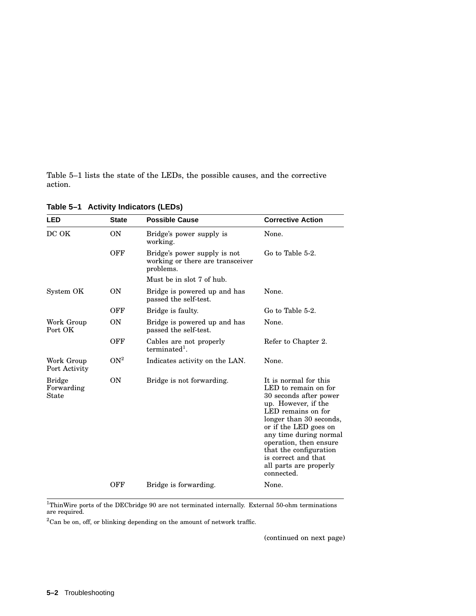Table 5–1 lists the state of the LEDs, the possible causes, and the corrective action.

| LED                                         | <b>State</b>    | <b>Possible Cause</b>                                                         | <b>Corrective Action</b>                                                                                                                                                                                                                                                                                              |
|---------------------------------------------|-----------------|-------------------------------------------------------------------------------|-----------------------------------------------------------------------------------------------------------------------------------------------------------------------------------------------------------------------------------------------------------------------------------------------------------------------|
| DC OK                                       | <b>ON</b>       | Bridge's power supply is<br>working.                                          | None.                                                                                                                                                                                                                                                                                                                 |
|                                             | <b>OFF</b>      | Bridge's power supply is not<br>working or there are transceiver<br>problems. | Go to Table 5-2.                                                                                                                                                                                                                                                                                                      |
|                                             |                 | Must be in slot 7 of hub.                                                     |                                                                                                                                                                                                                                                                                                                       |
| System OK                                   | <b>ON</b>       | Bridge is powered up and has<br>passed the self-test.                         | None.                                                                                                                                                                                                                                                                                                                 |
|                                             | OFF             | Bridge is faulty.                                                             | Go to Table 5-2.                                                                                                                                                                                                                                                                                                      |
| Work Group<br>Port OK                       | ON              | Bridge is powered up and has<br>passed the self-test.                         | None.                                                                                                                                                                                                                                                                                                                 |
|                                             | OFF             | Cables are not properly<br>$terminated1$ .                                    | Refer to Chapter 2.                                                                                                                                                                                                                                                                                                   |
| Work Group<br>Port Activity                 | ON <sup>2</sup> | Indicates activity on the LAN.                                                | None.                                                                                                                                                                                                                                                                                                                 |
| <b>Bridge</b><br>Forwarding<br><b>State</b> | ON              | Bridge is not forwarding.                                                     | It is normal for this<br>LED to remain on for<br>30 seconds after power<br>up. However, if the<br>LED remains on for<br>longer than 30 seconds,<br>or if the LED goes on<br>any time during normal<br>operation, then ensure<br>that the configuration<br>is correct and that<br>all parts are properly<br>connected. |
|                                             | OFF             | Bridge is forwarding.                                                         | None.                                                                                                                                                                                                                                                                                                                 |

**Table 5–1 Activity Indicators (LEDs)**

 ${}^{1}$ ThinWire ports of the DECbridge 90 are not terminated internally. External 50-ohm terminations are required.

 $2^2$ Can be on, off, or blinking depending on the amount of network traffic.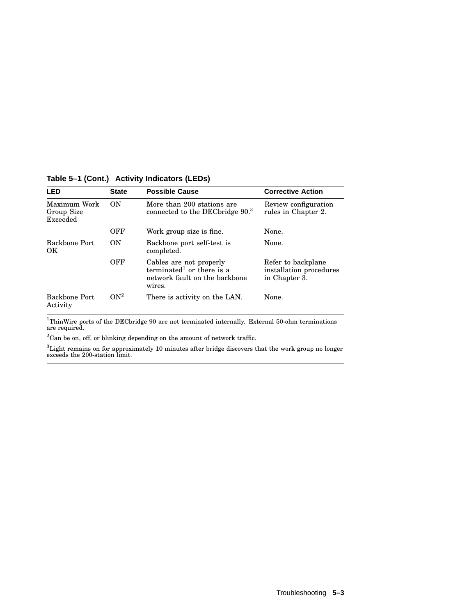| <b>LED</b>                             | <b>State</b>    | <b>Possible Cause</b>                                                                                       | <b>Corrective Action</b>                                       |
|----------------------------------------|-----------------|-------------------------------------------------------------------------------------------------------------|----------------------------------------------------------------|
| Maximum Work<br>Group Size<br>Exceeded | <b>ON</b>       | More than 200 stations are<br>connected to the DECbridge 90. <sup>3</sup>                                   | Review configuration<br>rules in Chapter 2.                    |
|                                        | OFF             | Work group size is fine.                                                                                    | None.                                                          |
| Backbone Port<br>OK                    | ON              | Backbone port self-test is<br>completed.                                                                    | None.                                                          |
|                                        | OFF             | Cables are not properly<br>terminated <sup>1</sup> or there is a<br>network fault on the backbone<br>wires. | Refer to backplane<br>installation procedures<br>in Chapter 3. |
| Backbone Port<br>Activity              | ON <sup>2</sup> | There is activity on the LAN.                                                                               | None.                                                          |

**Table 5–1 (Cont.) Activity Indicators (LEDs)**

 $^{1}$ ThinWire ports of the DECbridge 90 are not terminated internally. External 50-ohm terminations are required.

 $^2\mathrm{Can}$  be on, off, or blinking depending on the amount of network traffic.

 ${}^{3}$ Light remains on for approximately 10 minutes after bridge discovers that the work group no longer exceeds the 200-station limit.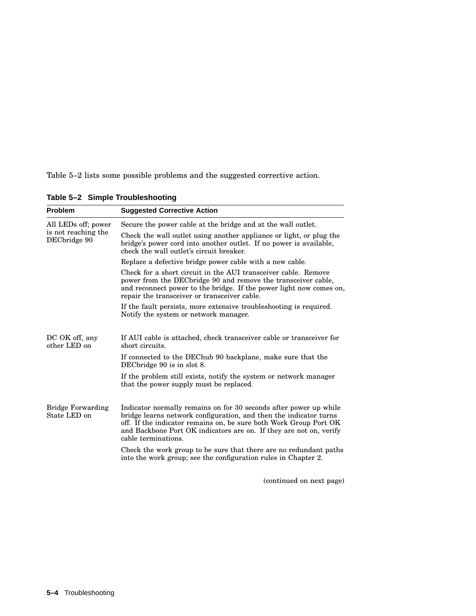Table 5–2 lists some possible problems and the suggested corrective action.

| <b>Problem</b>                           | <b>Suggested Corrective Action</b>                                                                                                                                                                                                                                                                       |
|------------------------------------------|----------------------------------------------------------------------------------------------------------------------------------------------------------------------------------------------------------------------------------------------------------------------------------------------------------|
| All LEDs off; power                      | Secure the power cable at the bridge and at the wall outlet.                                                                                                                                                                                                                                             |
| is not reaching the<br>DECbridge 90      | Check the wall outlet using another appliance or light, or plug the<br>bridge's power cord into another outlet. If no power is available,<br>check the wall outlet's circuit breaker.                                                                                                                    |
|                                          | Replace a defective bridge power cable with a new cable.                                                                                                                                                                                                                                                 |
|                                          | Check for a short circuit in the AUI transceiver cable. Remove<br>power from the DEC bridge 90 and remove the transceiver cable,<br>and reconnect power to the bridge. If the power light now comes on,<br>repair the transceiver or transceiver cable.                                                  |
|                                          | If the fault persists, more extensive troubleshooting is required.<br>Notify the system or network manager.                                                                                                                                                                                              |
| DC OK off, any<br>other LED on           | If AUI cable is attached, check transceiver cable or transceiver for<br>short circuits.                                                                                                                                                                                                                  |
|                                          | If connected to the DEChub 90 backplane, make sure that the<br>DEC bridge 90 is in slot 8.                                                                                                                                                                                                               |
|                                          | If the problem still exists, notify the system or network manager<br>that the power supply must be replaced.                                                                                                                                                                                             |
| <b>Bridge Forwarding</b><br>State LED on | Indicator normally remains on for 30 seconds after power up while<br>bridge learns network configuration, and then the indicator turns<br>off. If the indicator remains on, be sure both Work Group Port OK<br>and Backbone Port OK indicators are on. If they are not on, verify<br>cable terminations. |
|                                          | Check the work group to be sure that there are no redundant paths<br>into the work group; see the configuration rules in Chapter 2.                                                                                                                                                                      |

**Table 5–2 Simple Troubleshooting**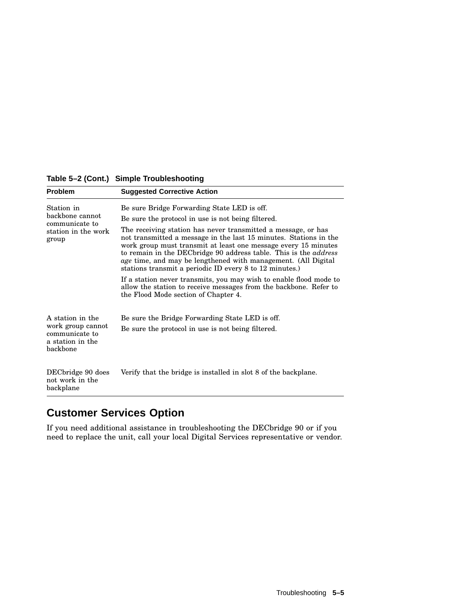| Problem                                                             | <b>Suggested Corrective Action</b>                                                                                                                                                                                                                                                                                                                                                                           |
|---------------------------------------------------------------------|--------------------------------------------------------------------------------------------------------------------------------------------------------------------------------------------------------------------------------------------------------------------------------------------------------------------------------------------------------------------------------------------------------------|
| Station in                                                          | Be sure Bridge Forwarding State LED is off.                                                                                                                                                                                                                                                                                                                                                                  |
| backbone cannot<br>communicate to                                   | Be sure the protocol in use is not being filtered.                                                                                                                                                                                                                                                                                                                                                           |
| station in the work<br>group                                        | The receiving station has never transmitted a message, or has<br>not transmitted a message in the last 15 minutes. Stations in the<br>work group must transmit at least one message every 15 minutes<br>to remain in the DEC bridge 90 address table. This is the <i>address</i><br>age time, and may be lengthened with management. (All Digital<br>stations transmit a periodic ID every 8 to 12 minutes.) |
|                                                                     | If a station never transmits, you may wish to enable flood mode to<br>allow the station to receive messages from the backbone. Refer to<br>the Flood Mode section of Chapter 4.                                                                                                                                                                                                                              |
| A station in the                                                    | Be sure the Bridge Forwarding State LED is off.                                                                                                                                                                                                                                                                                                                                                              |
| work group cannot<br>communicate to<br>a station in the<br>backbone | Be sure the protocol in use is not being filtered.                                                                                                                                                                                                                                                                                                                                                           |
| DECbridge 90 does<br>not work in the<br>backplane                   | Verify that the bridge is installed in slot 8 of the backplane.                                                                                                                                                                                                                                                                                                                                              |

## **Table 5–2 (Cont.) Simple Troubleshooting**

# **Customer Services Option**

If you need additional assistance in troubleshooting the DECbridge 90 or if you need to replace the unit, call your local Digital Services representative or vendor.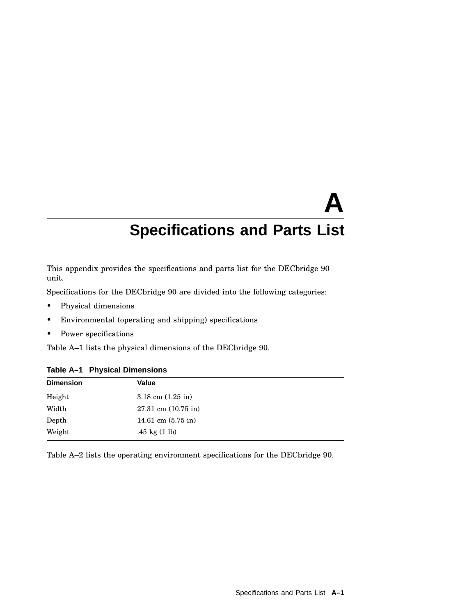# **A Specifications and Parts List**

This appendix provides the specifications and parts list for the DECbridge 90 unit.

Specifications for the DECbridge 90 are divided into the following categories:

- Physical dimensions
- Environmental (operating and shipping) specifications
- Power specifications

Table A–1 lists the physical dimensions of the DECbridge 90.

|               | Table A-1 Physical Dimensions |  |
|---------------|-------------------------------|--|
| Dimension     | Value                         |  |
| Height        | 3.18 cm $(1.25 \text{ in})$   |  |
| Width         | $27.31$ cm $(10.75$ in)       |  |
| ${\rm Depth}$ | 14.61 cm $(5.75 \text{ in})$  |  |

#### **Table A–1 Physical Dimensions**

Weight .45 kg (1 lb)

Table A–2 lists the operating environment specifications for the DECbridge 90.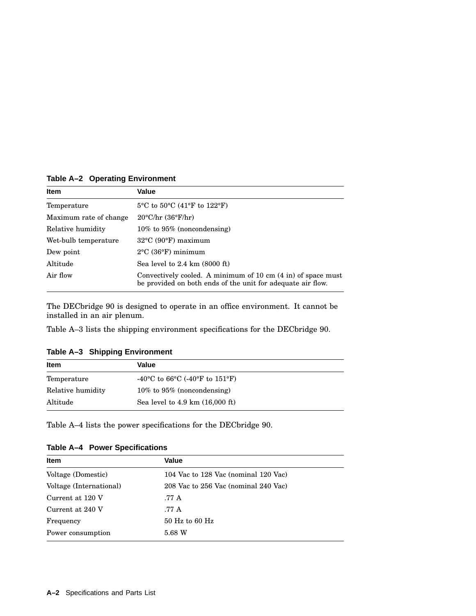**Table A–2 Operating Environment**

| <b>Item</b>            | Value                                                                                                                       |
|------------------------|-----------------------------------------------------------------------------------------------------------------------------|
| Temperature            | $5^{\circ}$ C to $50^{\circ}$ C (41 $^{\circ}$ F to 122 $^{\circ}$ F)                                                       |
| Maximum rate of change | $20^{\circ}$ C/hr (36°F/hr)                                                                                                 |
| Relative humidity      | $10\%$ to $95\%$ (noncondensing)                                                                                            |
| Wet-bulb temperature   | $32^{\circ}$ C (90 $^{\circ}$ F) maximum                                                                                    |
| Dew point              | $2^{\circ}$ C (36 $^{\circ}$ F) minimum                                                                                     |
| Altitude               | Sea level to $2.4 \text{ km}$ (8000 ft)                                                                                     |
| Air flow               | Convectively cooled. A minimum of 10 cm (4 in) of space must<br>be provided on both ends of the unit for adequate air flow. |

The DECbridge 90 is designed to operate in an office environment. It cannot be installed in an air plenum.

Table A–3 lists the shipping environment specifications for the DECbridge 90.

**Table A–3 Shipping Environment**

| <b>Item</b>       | Value                                                                              |  |
|-------------------|------------------------------------------------------------------------------------|--|
| Temperature       | -40 <sup>o</sup> C to 66 <sup>o</sup> C (-40 <sup>o</sup> F to 151 <sup>o</sup> F) |  |
| Relative humidity | $10\%$ to 95% (noncondensing)                                                      |  |
| Altitude          | Sea level to $4.9 \text{ km}$ $(16,000 \text{ ft})$                                |  |

Table A–4 lists the power specifications for the DECbridge 90.

|  |  | Table A-4 Power Specifications |
|--|--|--------------------------------|
|--|--|--------------------------------|

| <b>Item</b>             | Value                                |
|-------------------------|--------------------------------------|
| Voltage (Domestic)      | 104 Vac to 128 Vac (nominal 120 Vac) |
| Voltage (International) | 208 Vac to 256 Vac (nominal 240 Vac) |
| Current at 120 V        | .77 A                                |
| Current at 240 V        | .77 A                                |
| Frequency               | $50$ Hz to 60 Hz                     |
| Power consumption       | 5.68 W                               |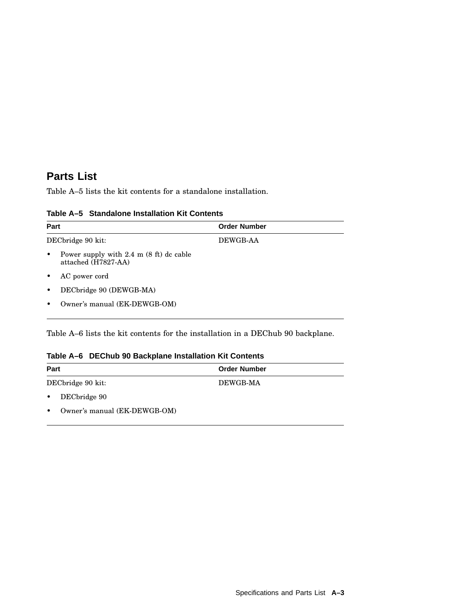## **Parts List**

Table A–5 lists the kit contents for a standalone installation.

| Part                                                                          | <b>Order Number</b> |  |
|-------------------------------------------------------------------------------|---------------------|--|
| DECbridge 90 kit:                                                             | DEWGB-AA            |  |
| Power supply with $2.4 \text{ m}$ (8 ft) dc cable<br>٠<br>attached (H7827-AA) |                     |  |
| AC power cord<br>٠                                                            |                     |  |
| DECbridge 90 (DEWGB-MA)<br>٠                                                  |                     |  |
| Owner's manual (EK-DEWGB-OM)<br>٠                                             |                     |  |

#### **Table A–5 Standalone Installation Kit Contents**

Table A–6 lists the kit contents for the installation in a DEChub 90 backplane.

## **Table A–6 DEChub 90 Backplane Installation Kit Contents**

| Part      |                              | <b>Order Number</b> |  |
|-----------|------------------------------|---------------------|--|
|           | DECbridge 90 kit:            | DEWGB-MA            |  |
| $\bullet$ | DECbridge 90                 |                     |  |
| $\bullet$ | Owner's manual (EK-DEWGB-OM) |                     |  |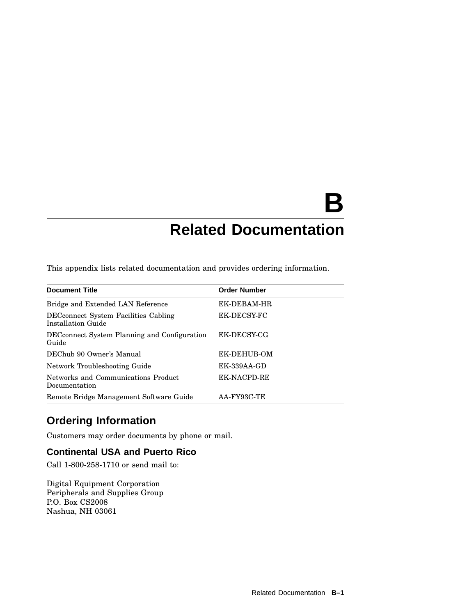# **B Related Documentation**

This appendix lists related documentation and provides ordering information.

| <b>Document Title</b>                                      | <b>Order Number</b> |
|------------------------------------------------------------|---------------------|
| Bridge and Extended LAN Reference                          | EK-DEBAM-HR         |
| DECconnect System Facilities Cabling<br>Installation Guide | EK-DECSY-FC         |
| DEC connect System Planning and Configuration<br>Guide     | EK-DECSY-CG         |
| DEChub 90 Owner's Manual                                   | EK-DEHUB-OM         |
| Network Troubleshooting Guide                              | EK-339AA-GD         |
| Networks and Communications Product<br>Documentation       | <b>EK-NACPD-RE</b>  |
| Remote Bridge Management Software Guide                    | AA-FY93C-TE         |

# **Ordering Information**

Customers may order documents by phone or mail.

## **Continental USA and Puerto Rico**

Call 1-800-258-1710 or send mail to:

Digital Equipment Corporation Peripherals and Supplies Group P.O. Box CS2008 Nashua, NH 03061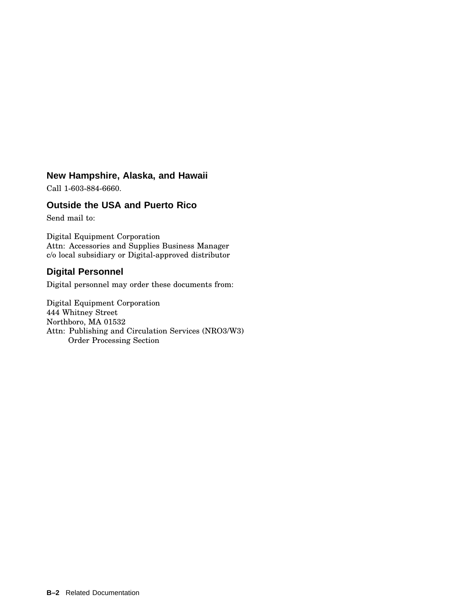## **New Hampshire, Alaska, and Hawaii**

Call 1-603-884-6660.

## **Outside the USA and Puerto Rico**

Send mail to:

Digital Equipment Corporation Attn: Accessories and Supplies Business Manager c/o local subsidiary or Digital-approved distributor

## **Digital Personnel**

Digital personnel may order these documents from:

Digital Equipment Corporation 444 Whitney Street Northboro, MA 01532 Attn: Publishing and Circulation Services (NRO3/W3) Order Processing Section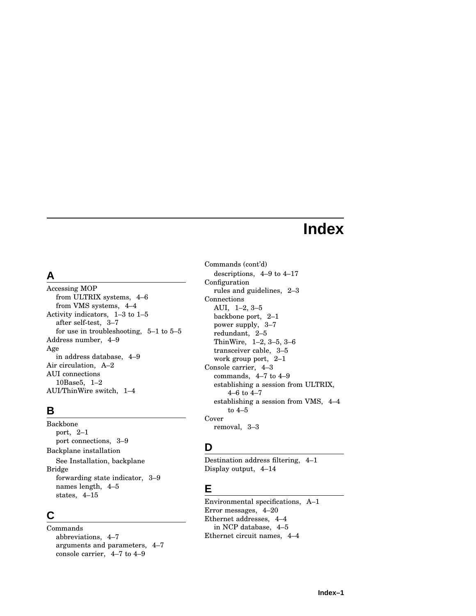# **Index**

# **A**

Accessing MOP from ULTRIX systems, 4–6 from VMS systems, 4–4 Activity indicators, 1–3 to 1–5 after self-test, 3–7 for use in troubleshooting, 5–1 to 5–5 Address number, 4–9 Age in address database, 4–9 Air circulation, A–2 AUI connections 10Base5, 1–2 AUI/ThinWire switch, 1–4

# **B**

Backbone port, 2–1 port connections, 3–9 Backplane installation See Installation, backplane Bridge forwarding state indicator, 3–9 names length, 4–5 states, 4–15

## **C**

Commands abbreviations, 4–7 arguments and parameters, 4–7 console carrier, 4–7 to 4–9

Commands (cont'd) descriptions, 4–9 to 4–17 Configuration rules and guidelines, 2–3 Connections AUI, 1–2, 3–5 backbone port, 2–1 power supply, 3–7 redundant, 2–5 ThinWire, 1–2, 3–5, 3–6 transceiver cable, 3–5 work group port, 2–1 Console carrier, 4–3 commands, 4–7 to 4–9 establishing a session from ULTRIX, 4–6 to 4–7 establishing a session from VMS, 4–4 to 4–5 Cover removal, 3–3

# **D**

Destination address filtering, 4–1 Display output, 4–14

# **E**

Environmental specifications, A–1 Error messages, 4–20 Ethernet addresses, 4–4 in NCP database, 4–5 Ethernet circuit names, 4–4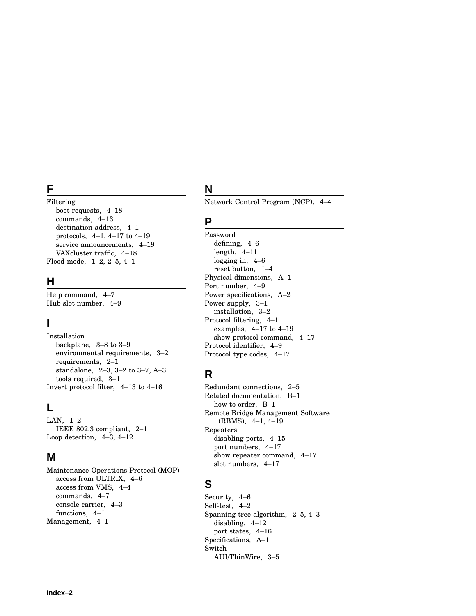## **F**

## Filtering

boot requests, 4–18 commands, 4–13 destination address, 4–1 protocols, 4–1, 4–17 to 4–19 service announcements, 4–19 VAXcluster traffic, 4–18 Flood mode, 1–2, 2–5, 4–1

## **H**

Help command, 4–7 Hub slot number, 4–9

## **I**

Installation backplane, 3–8 to 3–9 environmental requirements, 3–2 requirements, 2–1 standalone, 2–3, 3–2 to 3–7, A–3 tools required, 3–1 Invert protocol filter, 4–13 to 4–16

## **L**

LAN, 1–2 IEEE 802.3 compliant, 2–1 Loop detection, 4–3, 4–12

## **M**

Maintenance Operations Protocol (MOP) access from ULTRIX, 4–6 access from VMS, 4–4 commands, 4–7 console carrier, 4–3 functions, 4–1 Management, 4–1

# **N**

Network Control Program (NCP), 4–4

## **P**

Password defining, 4–6 length, 4–11 logging in, 4–6 reset button, 1–4 Physical dimensions, A–1 Port number, 4–9 Power specifications, A–2 Power supply, 3–1 installation, 3–2 Protocol filtering, 4–1 examples, 4–17 to 4–19 show protocol command, 4–17 Protocol identifier, 4–9 Protocol type codes, 4–17

## **R**

Redundant connections, 2–5 Related documentation, B–1 how to order, B–1 Remote Bridge Management Software (RBMS), 4–1, 4–19 Repeaters disabling ports, 4–15 port numbers, 4–17 show repeater command, 4–17 slot numbers, 4–17

## **S**

Security, 4–6 Self-test, 4–2 Spanning tree algorithm, 2–5, 4–3 disabling, 4–12 port states, 4–16 Specifications, A–1 Switch AUI/ThinWire, 3–5